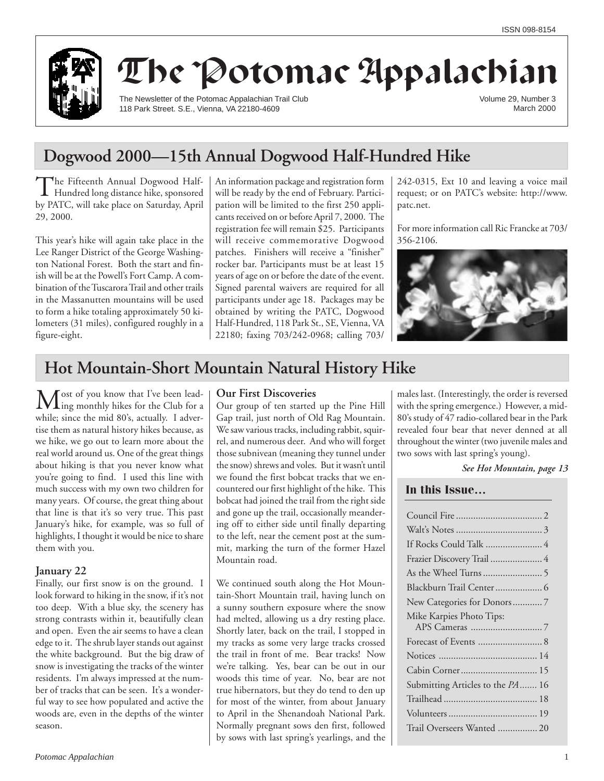

# The Potomac Appalachian

The Newsletter of the Potomac Appalachian Trail Club 118 Park Street. S.E., Vienna, VA 22180-4609

Volume 29, Number 3 March 2000

## **Dogwood 2000—15th Annual Dogwood Half-Hundred Hike**

The Fifteenth Annual Dogwood Half-Hundred long distance hike, sponsored by PATC, will take place on Saturday, April 29, 2000.

This year's hike will again take place in the Lee Ranger District of the George Washington National Forest. Both the start and finish will be at the Powell's Fort Camp. A combination of the Tuscarora Trail and other trails in the Massanutten mountains will be used to form a hike totaling approximately 50 kilometers (31 miles), configured roughly in a figure-eight.

An information package and registration form will be ready by the end of February. Participation will be limited to the first 250 applicants received on or before April 7, 2000. The registration fee will remain \$25. Participants will receive commemorative Dogwood patches. Finishers will receive a "finisher" rocker bar. Participants must be at least 15 years of age on or before the date of the event. Signed parental waivers are required for all participants under age 18. Packages may be obtained by writing the PATC, Dogwood Half-Hundred, 118 Park St., SE, Vienna, VA 22180; faxing 703/242-0968; calling 703/ 242-0315, Ext 10 and leaving a voice mail request; or on PATC's website: http://www. patc.net.

For more information call Ric Francke at 703/ 356-2106.



## **Hot Mountain-Short Mountain Natural History Hike**

Most of you know that I've been lead-<br>ling monthly hikes for the Club for a while; since the mid 80's, actually. I advertise them as natural history hikes because, as we hike, we go out to learn more about the real world around us. One of the great things about hiking is that you never know what you're going to find. I used this line with much success with my own two children for many years. Of course, the great thing about that line is that it's so very true. This past January's hike, for example, was so full of highlights, I thought it would be nice to share them with you.

### **January 22**

Finally, our first snow is on the ground. I look forward to hiking in the snow, if it's not too deep. With a blue sky, the scenery has strong contrasts within it, beautifully clean and open. Even the air seems to have a clean edge to it. The shrub layer stands out against the white background. But the big draw of snow is investigating the tracks of the winter residents. I'm always impressed at the number of tracks that can be seen. It's a wonderful way to see how populated and active the woods are, even in the depths of the winter season.

### **Our First Discoveries**

Our group of ten started up the Pine Hill Gap trail, just north of Old Rag Mountain. We saw various tracks, including rabbit, squirrel, and numerous deer. And who will forget those subnivean (meaning they tunnel under the snow) shrews and voles. But it wasn't until we found the first bobcat tracks that we encountered our first highlight of the hike. This bobcat had joined the trail from the right side and gone up the trail, occasionally meandering off to either side until finally departing to the left, near the cement post at the summit, marking the turn of the former Hazel Mountain road.

We continued south along the Hot Mountain-Short Mountain trail, having lunch on a sunny southern exposure where the snow had melted, allowing us a dry resting place. Shortly later, back on the trail, I stopped in my tracks as some very large tracks crossed the trail in front of me. Bear tracks! Now we're talking. Yes, bear can be out in our woods this time of year. No, bear are not true hibernators, but they do tend to den up for most of the winter, from about January to April in the Shenandoah National Park. Normally pregnant sows den first, followed by sows with last spring's yearlings, and the males last. (Interestingly, the order is reversed with the spring emergence.) However, a mid-80's study of 47 radio-collared bear in the Park revealed four bear that never denned at all throughout the winter (two juvenile males and two sows with last spring's young).

#### *See Hot Mountain, page 13*

#### **In this Issue…**

| If Rocks Could Talk  4           |
|----------------------------------|
| Frazier Discovery Trail  4       |
|                                  |
| Blackburn Trail Center 6         |
| New Categories for Donors7       |
| Mike Karpies Photo Tips:         |
|                                  |
| Forecast of Events  8            |
|                                  |
| Cabin Corner 15                  |
| Submitting Articles to the PA 16 |
|                                  |
|                                  |
| Trail Overseers Wanted  20       |
|                                  |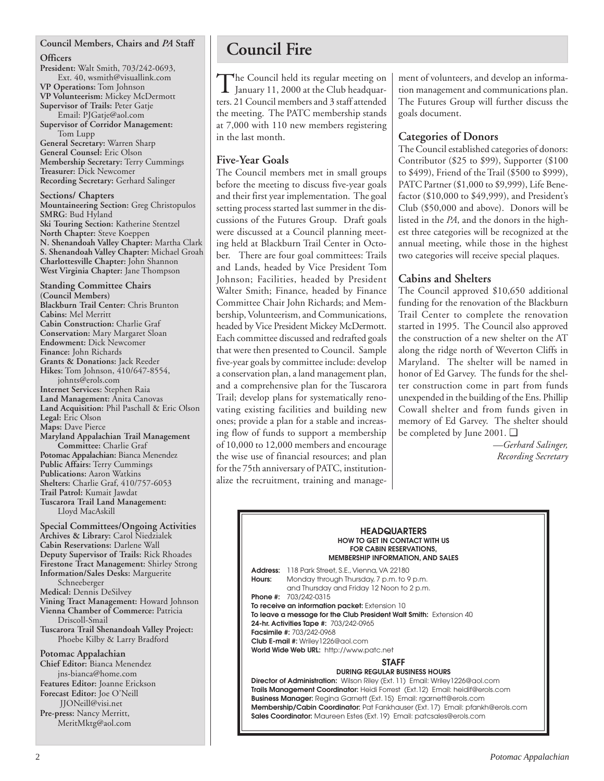#### **Council Members, Chairs and** *PA* **Staff**

#### **Officers**

**President:** Walt Smith, 703/242-0693, Ext. 40, wsmith@visuallink.com **VP Operations:** Tom Johnson **VP Volunteerism:** Mickey McDermott **Supervisor of Trails:** Peter Gatje Email: PJGatje@aol.com **Supervisor of Corridor Management:** Tom Lupp **General Secretary:** Warren Sharp **General Counsel:** Eric Olson **Membership Secretary:** Terry Cummings **Treasurer:** Dick Newcomer **Recording Secretary:** Gerhard Salinger

**Sections/ Chapters Mountaineering Section:** Greg Christopulos **SMRG**: Bud Hyland **Ski Touring Section:** Katherine Stentzel **North Chapter:** Steve Koeppen **N. Shenandoah Valley Chapter:** Martha Clark **S. Shenandoah Valley Chapter:** Michael Groah **Charlottesville Chapter:** John Shannon **West Virginia Chapter:** Jane Thompson

**Standing Committee Chairs (Council Members) Blackburn Trail Center:** Chris Brunton **Cabins:** Mel Merritt **Cabin Construction:** Charlie Graf **Conservation:** Mary Margaret Sloan **Endowment:** Dick Newcomer **Finance:** John Richards **Grants & Donations:** Jack Reeder **Hikes:** Tom Johnson, 410/647-8554, johnts@erols.com **Internet Services:** Stephen Raia **Land Management:** Anita Canovas **Land Acquisition:** Phil Paschall & Eric Olson **Legal:** Eric Olson **Maps:** Dave Pierce **Maryland Appalachian Trail Management Committee:** Charlie Graf **Potomac Appalachian:** Bianca Menendez **Public Affairs:** Terry Cummings **Publications:** Aaron Watkins **Shelters:** Charlie Graf, 410/757-6053 **Trail Patrol:** Kumait Jawdat **Tuscarora Trail Land Management:** Lloyd MacAskill

**Special Committees/Ongoing Activities Archives & Library:** Carol Niedzialek **Cabin Reservations:** Darlene Wall **Deputy Supervisor of Trails:** Rick Rhoades **Firestone Tract Management:** Shirley Strong **Information/Sales Desks:** Marguerite Schneeberger **Medical:** Dennis DeSilvey **Vining Tract Management:** Howard Johnson **Vienna Chamber of Commerce:** Patricia Driscoll-Smail **Tuscarora Trail Shenandoah Valley Project:** Phoebe Kilby & Larry Bradford **Potomac Appalachian Chief Editor:** Bianca Menendez jns-bianca@home.com

**Features Editor:** Joanne Erickson **Forecast Editor:** Joe O'Neill JJONeill@visi.net **Pre-press:** Nancy Merritt, MeritMktg@aol.com

## **Council Fire**

The Council held its regular meeting on January 11, 2000 at the Club headquarters. 21 Council members and 3 staff attended the meeting. The PATC membership stands at 7,000 with 110 new members registering in the last month.

## **Five-Year Goals**

The Council members met in small groups before the meeting to discuss five-year goals and their first year implementation. The goal setting process started last summer in the discussions of the Futures Group. Draft goals were discussed at a Council planning meeting held at Blackburn Trail Center in October. There are four goal committees: Trails and Lands, headed by Vice President Tom Johnson; Facilities, headed by President Walter Smith; Finance, headed by Finance Committee Chair John Richards; and Membership, Volunteerism, and Communications, headed by Vice President Mickey McDermott. Each committee discussed and redrafted goals that were then presented to Council. Sample five-year goals by committee include: develop a conservation plan, a land management plan, and a comprehensive plan for the Tuscarora Trail; develop plans for systematically renovating existing facilities and building new ones; provide a plan for a stable and increasing flow of funds to support a membership of 10,000 to 12,000 members and encourage the wise use of financial resources; and plan for the 75th anniversary of PATC, institutionalize the recruitment, training and management of volunteers, and develop an information management and communications plan. The Futures Group will further discuss the goals document.

## **Categories of Donors**

The Council established categories of donors: Contributor (\$25 to \$99), Supporter (\$100 to \$499), Friend of the Trail (\$500 to \$999), PATC Partner (\$1,000 to \$9,999), Life Benefactor (\$10,000 to \$49,999), and President's Club (\$50,000 and above). Donors will be listed in the *PA*, and the donors in the highest three categories will be recognized at the annual meeting, while those in the highest two categories will receive special plaques.

## **Cabins and Shelters**

The Council approved \$10,650 additional funding for the renovation of the Blackburn Trail Center to complete the renovation started in 1995. The Council also approved the construction of a new shelter on the AT along the ridge north of Weverton Cliffs in Maryland. The shelter will be named in honor of Ed Garvey. The funds for the shelter construction come in part from funds unexpended in the building of the Ens. Phillip Cowall shelter and from funds given in memory of Ed Garvey. The shelter should be completed by June 2001. ❑

*—Gerhard Salinger, Recording Secretary*

#### **HEADQUARTERS HOW TO GET IN CONTACT WITH US FOR CABIN RESERVATIONS, MEMBERSHIP INFORMATION, AND SALES**

**Address:** 118 Park Street, S.E., Vienna, VA 22180 **Hours:** Monday through Thursday, 7 p.m. to 9 p.m. and Thursday and Friday 12 Noon to 2 p.m. **Phone #:** 703/242-0315 **To receive an information packet:** Extension 10 **To leave a message for the Club President Walt Smith:** Extension 40 **24-hr. Activities Tape #:** 703/242-0965 **Facsimile #:** 703/242-0968 **Club E-mail #:** Wriley1226@aol.com **World Wide Web URL:** http://www.patc.net **STAFF**

#### **DURING REGULAR BUSINESS HOURS**

**Director of Administration:** Wilson Riley (Ext. 11) Email: Wriley1226@aol.com **Trails Management Coordinator:** Heidi Forrest (Ext.12) Email: heidif@erols.com **Business Manager:** Regina Garnett (Ext. 15) Email: rgarnett@erols.com **Membership/Cabin Coordinator:** Pat Fankhauser (Ext. 17) Email: pfankh@erols.com **Sales Coordinator:** Maureen Estes (Ext. 19) Email: patcsales@erols.com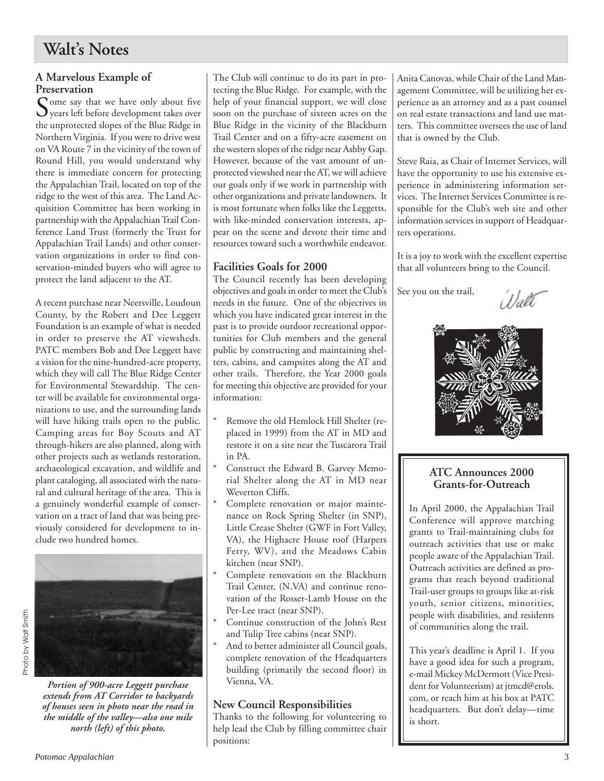## **Walt's Notes**

### **A Marvelous Example of Preservation**

Some say that we have only about five years left before development takes over the unprotected slopes of the Blue Ridge in Northern Virginia. If you were to drive west on VA Route 7 in the vicinity of the town of Round Hill, you would understand why there is immediate concern for protecting the Appalachian Trail, located on top of the ridge to the west of this area. The Land Acquisition Committee has been working in partnership with the Appalachian Trail Conference Land Trust (formerly the Trust for Appalachian Trail Lands) and other conservation organizations in order to find conservation-minded buyers who will agree to protect the land adjacent to the AT.

A recent purchase near Neersville, Loudoun County, by the Robert and Dee Leggett Foundation is an example of what is needed in order to preserve the AT viewsheds. PATC members Bob and Dee Leggett have a vision for the nine-hundred-acre property, which they will call The Blue Ridge Center for Environmental Stewardship. The center will be available for environmental organizations to use, and the surrounding lands will have hiking trails open to the public. Camping areas for Boy Scouts and AT through-hikers are also planned, along with other projects such as wetlands restoration, archaeological excavation, and wildlife and plant cataloging, all associated with the natural and cultural heritage of the area. This is a genuinely wonderful example of conservation on a tract of land that was being previously considered for development to include two hundred homes.



*Portion of 900-acre Leggett purchase extends from AT Corridor to backyards of houses seen in photo near the road in the middle of the valley—also one mile north (left) of this photo.*

The Club will continue to do its part in protecting the Blue Ridge. For example, with the help of your financial support, we will close soon on the purchase of sixteen acres on the Blue Ridge in the vicinity of the Blackburn Trail Center and on a fifty-acre easement on the western slopes of the ridge near Ashby Gap. However, because of the vast amount of unprotected viewshed near the AT, we will achieve our goals only if we work in partnership with other organizations and private landowners. It is most fortunate when folks like the Leggetts, with like-minded conservation interests, appear on the scene and devote their time and resources toward such a worthwhile endeavor.

## **Facilities Goals for 2000**

The Council recently has been developing objectives and goals in order to meet the Club's needs in the future. One of the objectives in which you have indicated great interest in the past is to provide outdoor recreational opportunities for Club members and the general public by constructing and maintaining shelters, cabins, and campsites along the AT and other trails. Therefore, the Year 2000 goals for meeting this objective are provided for your information:

- Remove the old Hemlock Hill Shelter (replaced in 1999) from the AT in MD and restore it on a site near the Tuscarora Trail in PA.
- Construct the Edward B. Garvey Memorial Shelter along the AT in MD near Weverton Cliffs.
- Complete renovation or major maintenance on Rock Spring Shelter (in SNP), Little Crease Shelter (GWF in Fort Valley, VA), the Highacre House roof (Harpers Ferry, WV), and the Meadows Cabin kitchen (near SNP).
- Complete renovation on the Blackburn Trail Center, (N.VA) and continue renovation of the Rosser-Lamb House on the Per-Lee tract (near SNP).
- Continue construction of the John's Rest and Tulip Tree cabins (near SNP).
- And to better administer all Council goals, complete renovation of the Headquarters building (primarily the second floor) in Vienna, VA.

## **New Council Responsibilities**

Thanks to the following for volunteering to help lead the Club by filling committee chair positions:

Anita Canovas, while Chair of the Land Management Committee, will be utilizing her experience as an attorney and as a past counsel on real estate transactions and land use matters. This committee oversees the use of land that is owned by the Club.

Steve Raia, as Chair of Internet Services, will have the opportunity to use his extensive experience in administering information services. The Internet Services Committee is responsible for the Club's web site and other information services in support of Headquarters operations.

It is a joy to work with the excellent expertise that all volunteers bring to the Council.

See you on the trail,

Balti



## **ATC Announces 2000 Grants-for-Outreach**

In April 2000, the Appalachian Trail Conference will approve matching grants to Trail-maintaining clubs for outreach activities that use or make people aware of the Appalachian Trail. Outreach activities are defined as programs that reach beyond traditional Trail-user groups to groups like at-risk youth, senior citizens, minorities, people with disabilities, and residents of communities along the trail.

This year's deadline is April 1. If you have a good idea for such a program, e-mail Mickey McDermott (Vice President for Volunteerism) at itmcd@erols. com, or reach him at his box at PATC headquarters. But don't delay—time is short.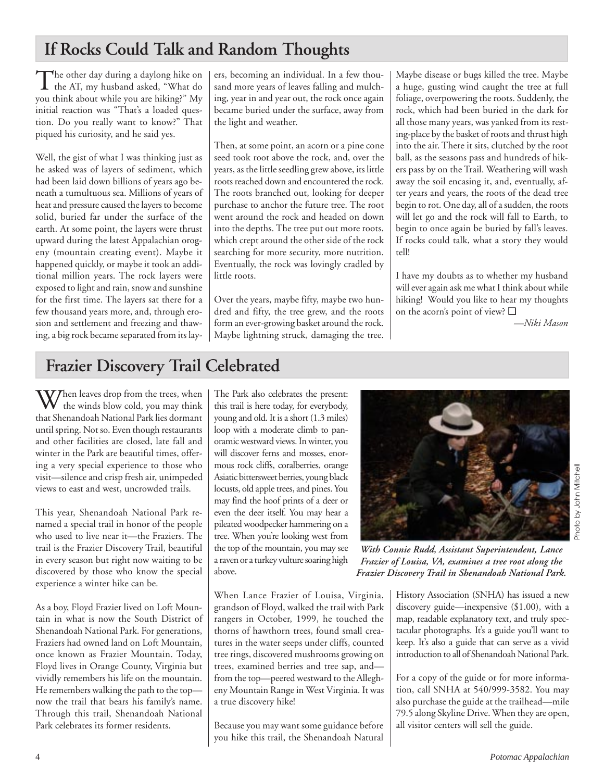## **If Rocks Could Talk and Random Thoughts**

The other day during a daylong hike on<br>the AT, my husband asked, "What do you think about while you are hiking?" My initial reaction was "That's a loaded question. Do you really want to know?" That piqued his curiosity, and he said yes.

Well, the gist of what I was thinking just as he asked was of layers of sediment, which had been laid down billions of years ago beneath a tumultuous sea. Millions of years of heat and pressure caused the layers to become solid, buried far under the surface of the earth. At some point, the layers were thrust upward during the latest Appalachian orogeny (mountain creating event). Maybe it happened quickly, or maybe it took an additional million years. The rock layers were exposed to light and rain, snow and sunshine for the first time. The layers sat there for a few thousand years more, and, through erosion and settlement and freezing and thawing, a big rock became separated from its lay-

ers, becoming an individual. In a few thousand more years of leaves falling and mulching, year in and year out, the rock once again became buried under the surface, away from the light and weather.

Then, at some point, an acorn or a pine cone seed took root above the rock, and, over the years, as the little seedling grew above, its little roots reached down and encountered the rock. The roots branched out, looking for deeper purchase to anchor the future tree. The root went around the rock and headed on down into the depths. The tree put out more roots, which crept around the other side of the rock searching for more security, more nutrition. Eventually, the rock was lovingly cradled by little roots.

Over the years, maybe fifty, maybe two hundred and fifty, the tree grew, and the roots form an ever-growing basket around the rock. Maybe lightning struck, damaging the tree.

Maybe disease or bugs killed the tree. Maybe a huge, gusting wind caught the tree at full foliage, overpowering the roots. Suddenly, the rock, which had been buried in the dark for all those many years, was yanked from its resting-place by the basket of roots and thrust high into the air. There it sits, clutched by the root ball, as the seasons pass and hundreds of hikers pass by on the Trail. Weathering will wash away the soil encasing it, and, eventually, after years and years, the roots of the dead tree begin to rot. One day, all of a sudden, the roots will let go and the rock will fall to Earth, to begin to once again be buried by fall's leaves. If rocks could talk, what a story they would tell!

I have my doubts as to whether my husband will ever again ask me what I think about while hiking! Would you like to hear my thoughts on the acorn's point of view? ❑

*—Niki Mason*

## **Frazier Discovery Trail Celebrated**

 $\mathbf{W}$  hen leaves drop from the trees, when the winds blow cold, you may think that Shenandoah National Park lies dormant until spring. Not so. Even though restaurants and other facilities are closed, late fall and winter in the Park are beautiful times, offering a very special experience to those who visit—silence and crisp fresh air, unimpeded views to east and west, uncrowded trails.

This year, Shenandoah National Park renamed a special trail in honor of the people who used to live near it—the Fraziers. The trail is the Frazier Discovery Trail, beautiful in every season but right now waiting to be discovered by those who know the special experience a winter hike can be.

As a boy, Floyd Frazier lived on Loft Mountain in what is now the South District of Shenandoah National Park. For generations, Fraziers had owned land on Loft Mountain, once known as Frazier Mountain. Today, Floyd lives in Orange County, Virginia but vividly remembers his life on the mountain. He remembers walking the path to the top now the trail that bears his family's name. Through this trail, Shenandoah National Park celebrates its former residents.

The Park also celebrates the present: this trail is here today, for everybody, young and old. It is a short (1.3 miles) loop with a moderate climb to panoramic westward views. In winter, you will discover ferns and mosses, enormous rock cliffs, coralberries, orange Asiatic bittersweet berries, young black locusts, old apple trees, and pines. You may find the hoof prints of a deer or even the deer itself. You may hear a pileated woodpecker hammering on a tree. When you're looking west from the top of the mountain, you may see a raven or a turkey vulture soaring high above.

When Lance Frazier of Louisa, Virginia, grandson of Floyd, walked the trail with Park rangers in October, 1999, he touched the thorns of hawthorn trees, found small creatures in the water seeps under cliffs, counted tree rings, discovered mushrooms growing on trees, examined berries and tree sap, and from the top—peered westward to the Allegheny Mountain Range in West Virginia. It was a true discovery hike!

Because you may want some guidance before you hike this trail, the Shenandoah Natural



*With Connie Rudd, Assistant Superintendent, Lance Frazier of Louisa, VA, examines a tree root along the Frazier Discovery Trail in Shenandoah National Park.*

History Association (SNHA) has issued a new discovery guide—inexpensive (\$1.00), with a map, readable explanatory text, and truly spectacular photographs. It's a guide you'll want to keep. It's also a guide that can serve as a vivid introduction to all of Shenandoah National Park.

For a copy of the guide or for more information, call SNHA at 540/999-3582. You may also purchase the guide at the trailhead—mile 79.5 along Skyline Drive. When they are open, all visitor centers will sell the guide.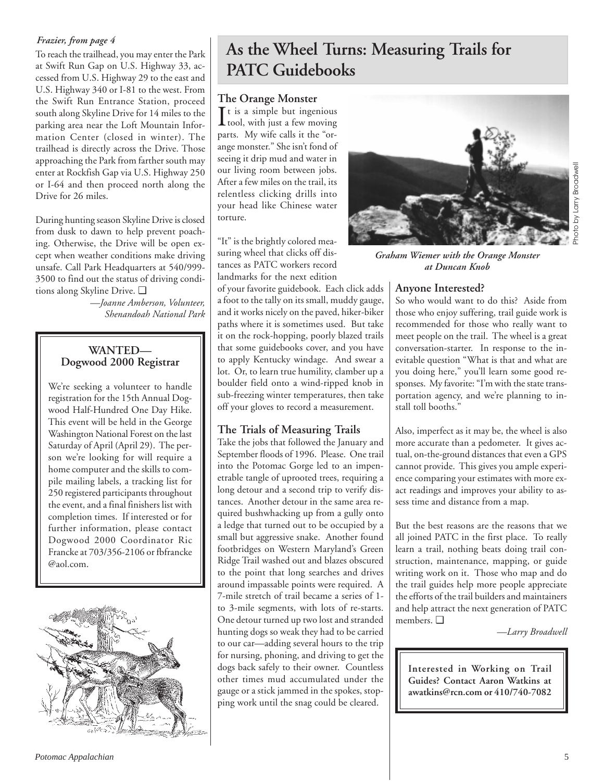### *Frazier, from page 4*

To reach the trailhead, you may enter the Park at Swift Run Gap on U.S. Highway 33, accessed from U.S. Highway 29 to the east and U.S. Highway 340 or I-81 to the west. From the Swift Run Entrance Station, proceed south along Skyline Drive for 14 miles to the parking area near the Loft Mountain Information Center (closed in winter). The trailhead is directly across the Drive. Those approaching the Park from farther south may enter at Rockfish Gap via U.S. Highway 250 or I-64 and then proceed north along the Drive for 26 miles.

During hunting season Skyline Drive is closed from dusk to dawn to help prevent poaching. Otherwise, the Drive will be open except when weather conditions make driving unsafe. Call Park Headquarters at 540/999- 3500 to find out the status of driving conditions along Skyline Drive. ❑

*—Joanne Amberson, Volunteer, Shenandoah National Park*

## **WANTED— Dogwood 2000 Registrar**

We're seeking a volunteer to handle registration for the 15th Annual Dogwood Half-Hundred One Day Hike. This event will be held in the George Washington National Forest on the last Saturday of April (April 29). The person we're looking for will require a home computer and the skills to compile mailing labels, a tracking list for 250 registered participants throughout the event, and a final finishers list with completion times. If interested or for further information, please contact Dogwood 2000 Coordinator Ric Francke at 703/356-2106 or fbfrancke @aol.com.



## **As the Wheel Turns: Measuring Trails for PATC Guidebooks**

### **The Orange Monster**

 $\prod$ t is a simple but ingenious<br>tool, with just a few moving  $\perp$  tool, with just a few moving parts. My wife calls it the "orange monster." She isn't fond of seeing it drip mud and water in our living room between jobs. After a few miles on the trail, its relentless clicking drills into your head like Chinese water torture.

"It" is the brightly colored measuring wheel that clicks off distances as PATC workers record landmarks for the next edition

of your favorite guidebook. Each click adds a foot to the tally on its small, muddy gauge, and it works nicely on the paved, hiker-biker paths where it is sometimes used. But take it on the rock-hopping, poorly blazed trails that some guidebooks cover, and you have to apply Kentucky windage. And swear a lot. Or, to learn true humility, clamber up a boulder field onto a wind-ripped knob in sub-freezing winter temperatures, then take off your gloves to record a measurement.

## **The Trials of Measuring Trails**

Take the jobs that followed the January and September floods of 1996. Please. One trail into the Potomac Gorge led to an impenetrable tangle of uprooted trees, requiring a long detour and a second trip to verify distances. Another detour in the same area required bushwhacking up from a gully onto a ledge that turned out to be occupied by a small but aggressive snake. Another found footbridges on Western Maryland's Green Ridge Trail washed out and blazes obscured to the point that long searches and drives around impassable points were required. A 7-mile stretch of trail became a series of 1 to 3-mile segments, with lots of re-starts. One detour turned up two lost and stranded hunting dogs so weak they had to be carried to our car—adding several hours to the trip for nursing, phoning, and driving to get the dogs back safely to their owner. Countless other times mud accumulated under the gauge or a stick jammed in the spokes, stopping work until the snag could be cleared.



*Graham Wiemer with the Orange Monster at Duncan Knob*

## **Anyone Interested?**

So who would want to do this? Aside from those who enjoy suffering, trail guide work is recommended for those who really want to meet people on the trail. The wheel is a great conversation-starter. In response to the inevitable question "What is that and what are you doing here," you'll learn some good responses. My favorite: "I'm with the state transportation agency, and we're planning to install toll booths."

Also, imperfect as it may be, the wheel is also more accurate than a pedometer. It gives actual, on-the-ground distances that even a GPS cannot provide. This gives you ample experience comparing your estimates with more exact readings and improves your ability to assess time and distance from a map.

But the best reasons are the reasons that we all joined PATC in the first place. To really learn a trail, nothing beats doing trail construction, maintenance, mapping, or guide writing work on it. Those who map and do the trail guides help more people appreciate the efforts of the trail builders and maintainers and help attract the next generation of PATC members. ❑

*—Larry Broadwell*

**Interested in Working on Trail Guides? Contact Aaron Watkins at awatkins@rcn.com or 410/740-7082**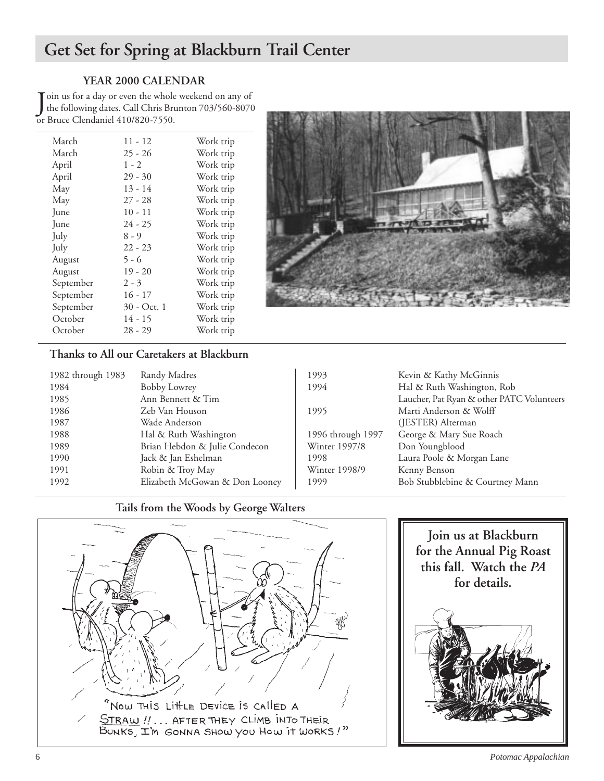## **Get Set for Spring at Blackburn Trail Center**

## **YEAR 2000 CALENDAR**

Join us for a day or even the whole<br>the following dates. Call Chris Bruce<br>or Bruce Clendaniel 410/820-7550. oin us for a day or even the whole weekend on any of the following dates. Call Chris Brunton 703/560-8070

| March     | $11 - 12$   | Work trip |
|-----------|-------------|-----------|
| March     | $25 - 26$   | Work trip |
| April     | $1 - 2$     | Work trip |
| April     | $29 - 30$   | Work trip |
| May       | $13 - 14$   | Work trip |
| May       | $27 - 28$   | Work trip |
| June      | $10 - 11$   | Work trip |
| June      | $24 - 25$   | Work trip |
| July      | $8 - 9$     | Work trip |
| July      | $22 - 23$   | Work trip |
| August    | $5 - 6$     | Work trip |
| August    | $19 - 20$   | Work trip |
| September | $2 - 3$     | Work trip |
| September | $16 - 17$   | Work trip |
| September | 30 - Oct. 1 | Work trip |
| October   | $14 - 15$   | Work trip |
| October   | $28 - 29$   | Work trip |
|           |             |           |



## **Thanks to All our Caretakers at Blackburn**

| 1982 through 1983 | Randy Madres                   | 1993              | Kevin & Kathy McGinnis                    |
|-------------------|--------------------------------|-------------------|-------------------------------------------|
| 1984              | <b>Bobby Lowrey</b>            | 1994              | Hal & Ruth Washington, Rob                |
| 1985              | Ann Bennett & Tim              |                   | Laucher, Pat Ryan & other PATC Volunteers |
| 1986              | Zeb Van Houson                 | 1995              | Marti Anderson & Wolff                    |
| 1987              | Wade Anderson                  |                   | (JESTER) Alterman                         |
| 1988              | Hal & Ruth Washington          | 1996 through 1997 | George & Mary Sue Roach                   |
| 1989              | Brian Hebdon & Julie Condecon  | Winter 1997/8     | Don Youngblood                            |
| 1990              | Jack & Jan Eshelman            | 1998              | Laura Poole & Morgan Lane                 |
| 1991              | Robin & Troy May               | Winter 1998/9     | Kenny Benson                              |
| 1992              | Elizabeth McGowan & Don Looney | 1999              | Bob Stubblebine & Courtney Mann           |
|                   |                                |                   |                                           |

## **Tails from the Woods by George Walters**



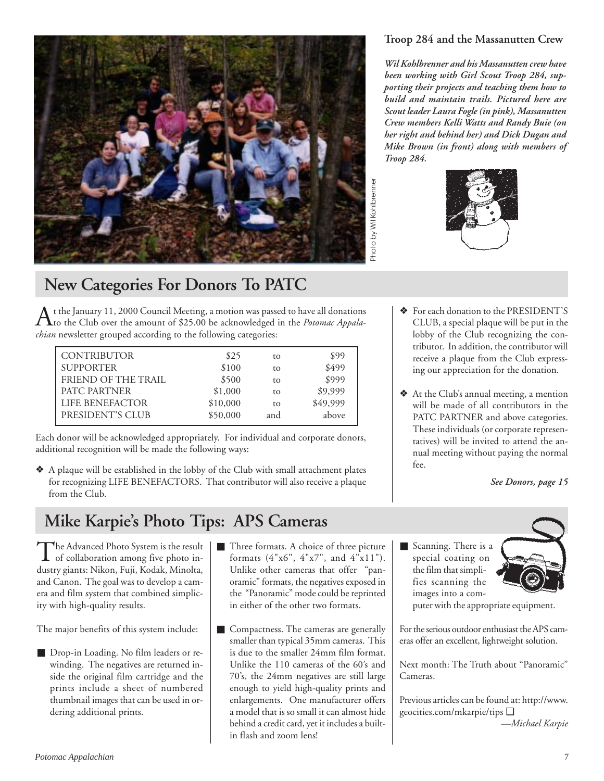

## **New Categories For Donors To PATC**

At the January 11, 2000 Council Meeting, a motion was passed to have all donations<br>to the Club over the amount of \$25.00 be acknowledged in the *Potomac Appalachian* newsletter grouped according to the following categories:

|          |                                               | \$99                       |
|----------|-----------------------------------------------|----------------------------|
|          |                                               | \$499                      |
|          |                                               | \$999                      |
|          |                                               | \$9,999                    |
|          |                                               | \$49,999                   |
| \$50,000 | and                                           | above                      |
|          | \$25<br>\$100<br>\$500<br>\$1,000<br>\$10,000 | to<br>to<br>to<br>to<br>to |

Each donor will be acknowledged appropriately. For individual and corporate donors, additional recognition will be made the following ways:

❖ A plaque will be established in the lobby of the Club with small attachment plates for recognizing LIFE BENEFACTORS. That contributor will also receive a plaque from the Club.

## **Troop 284 and the Massanutten Crew**

*Wil Kohlbrenner and his Massanutten crew have been working with Girl Scout Troop 284, supporting their projects and teaching them how to build and maintain trails. Pictured here are Scout leader Laura Fogle (in pink), Massanutten Crew members Kelli Watts and Randy Buie (on her right and behind her) and Dick Dugan and Mike Brown (in front) along with members of Troop 284.*



- ❖ For each donation to the PRESIDENT'S CLUB, a special plaque will be put in the lobby of the Club recognizing the contributor. In addition, the contributor will receive a plaque from the Club expressing our appreciation for the donation.
- ❖ At the Club's annual meeting, a mention will be made of all contributors in the PATC PARTNER and above categories. These individuals (or corporate representatives) will be invited to attend the annual meeting without paying the normal fee.

*See Donors, page 15*

## **Mike Karpie's Photo Tips: APS Cameras**

 $\prod$ he Advanced Photo System is the result<br>of collaboration among five photo industry giants: Nikon, Fuji, Kodak, Minolta, and Canon. The goal was to develop a camera and film system that combined simplicity with high-quality results.

The major benefits of this system include:

- Drop-in Loading. No film leaders or rewinding. The negatives are returned inside the original film cartridge and the prints include a sheet of numbered thumbnail images that can be used in ordering additional prints.
- Three formats. A choice of three picture formats (4"x6", 4"x7", and 4"x11"). Unlike other cameras that offer "panoramic" formats, the negatives exposed in the "Panoramic" mode could be reprinted in either of the other two formats.
- Compactness. The cameras are generally smaller than typical 35mm cameras. This is due to the smaller 24mm film format. Unlike the 110 cameras of the 60's and 70's, the 24mm negatives are still large enough to yield high-quality prints and enlargements. One manufacturer offers a model that is so small it can almost hide behind a credit card, yet it includes a builtin flash and zoom lens!
- Scanning. There is a special coating on the film that simplifies scanning the images into a com-



puter with the appropriate equipment.

For the serious outdoor enthusiast the APS cameras offer an excellent, lightweight solution.

Next month: The Truth about "Panoramic" Cameras.

Previous articles can be found at: http://www. geocities.com/mkarpie/tips ❑

*—Michael Karpie*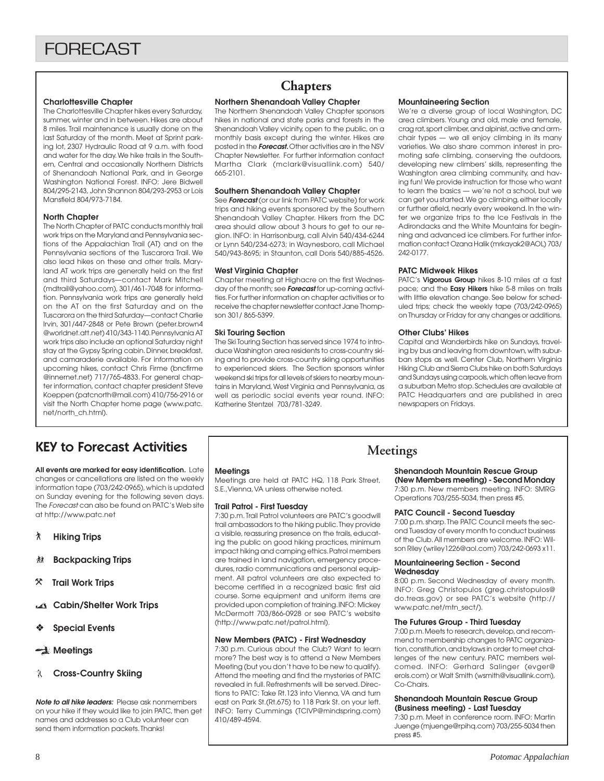#### **Charlottesville Chapter**

The Charlottesville Chapter hikes every Saturday, summer, winter and in between. Hikes are about 8 miles. Trail maintenance is usually done on the last Saturday of the month. Meet at Sprint parking lot, 2307 Hydraulic Road at 9 a.m. with food and water for the day. We hike trails in the Southern, Central and occasionally Northern Districts of Shenandoah National Park, and in George Washington National Forest. INFO: Jere Bidwell 804/295-2143, John Shannon 804/293-2953 or Lois Mansfield 804/973-7184.

#### **North Chapter**

The North Chapter of PATC conducts monthly trail work trips on the Maryland and Pennsylvania sections of the Appalachian Trail (AT) and on the Pennsylvania sections of the Tuscarora Trail. We also lead hikes on these and other trails. Maryland AT work trips are generally held on the first and third Saturdays—contact Mark Mitchell (mdtrail@yahoo.com), 301/461-7048 for information. Pennsylvania work trips are generally held on the AT on the first Saturday and on the Tuscarora on the third Saturday—contact Charlie Irvin, 301/447-2848 or Pete Brown (peter.brown4 @worldnet.att.net) 410/343-1140. Pennsylvania AT work trips also include an optional Saturday night stay at the Gypsy Spring cabin. Dinner, breakfast, and camaraderie available. For information on upcoming hikes, contact Chris Firme (bncfirme @innernet.net) 717/765-4833. For general chapter information, contact chapter president Steve Koeppen (patcnorth@mail.com) 410/756-2916 or visit the North Chapter home page (www.patc. net/north\_ch.html).

## **Chapters**

#### **Northern Shenandoah Valley Chapter**

The Northern Shenandoah Valley Chapter sponsors hikes in national and state parks and forests in the Shenandoah Valley vicinity, open to the public, on a monthly basis except during the winter. Hikes are posted in the **Forecast.** Other activities are in the NSV Chapter Newsletter. For further information contact Martha Clark (mclark@visuallink.com) 540/ 665-2101.

#### **Southern Shenandoah Valley Chapter**

See **Forecast** (or our link from PATC website) for work trips and hiking events sponsored by the Southern Shenandoah Valley Chapter. Hikers from the DC area should allow about 3 hours to get to our region. INFO: in Harrisonburg, call Alvin 540/434-6244 or Lynn 540/234-6273; in Waynesboro, call Michael 540/943-8695; in Staunton, call Doris 540/885-4526.

#### **West Virginia Chapter**

Chapter meeting at Highacre on the first Wednesday of the month; see **Forecast** for up-coming activities. For further information on chapter activities or to receive the chapter newsletter contact Jane Thompson 301/ 865-5399.

#### **Ski Touring Section**

The Ski Touring Section has served since 1974 to introduce Washington area residents to cross-country skiing and to provide cross-country skiing opportunities to experienced skiers. The Section sponsors winter weekend ski trips for all levels of skiers to nearby mountains in Maryland, West Virginia and Pennsylvania, as well as periodic social events year round. INFO: Katherine Stentzel 703/781-3249.

#### **Mountaineering Section**

We're a diverse group of local Washington, DC area climbers. Young and old, male and female, crag rat, sport climber, and alpinist, active and armchair types — we all enjoy climbing in its many varieties. We also share common interest in promoting safe climbing, conserving the outdoors, developing new climbers' skills, representing the Washington area climbing community, and having fun! We provide instruction for those who want to learn the basics — we're not a school, but we can get you started. We go climbing, either locally or further afield, nearly every weekend. In the winter we organize trips to the Ice Festivals in the Adirondacks and the White Mountains for beginning and advanced ice climbers. For further information contact Ozana Halik (mrkayak2@AOL) 703/ 242-0177.

#### **PATC Midweek Hikes**

PATC's **Vigorous Group** hikes 8-10 miles at a fast pace; and the **Easy Hikers** hike 5-8 miles on trails with little elevation change. See below for scheduled trips; check the weekly tape (703/242-0965) on Thursday or Friday for any changes or additions.

#### **Other Clubs' Hikes**

Capital and Wanderbirds hike on Sundays, traveling by bus and leaving from downtown, with suburban stops as well. Center Club, Northern Virginia Hiking Club and Sierra Clubs hike on both Saturdays and Sundays using carpools, which often leave from a suburban Metro stop. Schedules are available at PATC Headquarters and are published in area newspapers on Fridays.

## KEY to Forecast Activities

**All events are marked for easy identification.** Late changes or cancellations are listed on the weekly information tape (703/242-0965), which is updated on Sunday evening for the following seven days. The Forecast can also be found on PATC's Web site at http://www.patc.net

- ` **Hiking Trips**
- **Backpacking Trips**
- } **Trail Work Trips**
- **Cabin/Shelter Work Trips**
- ❖ **Special Events**

#### **Meetings**

**Cross-Country Skiing**

**Note to all hike leaders:** Please ask nonmembers on your hike if they would like to join PATC, then get names and addresses so a Club volunteer can send them information packets. Thanks!

#### **Meetings**

Meetings are held at PATC HQ, 118 Park Street, S.E.,Vienna, VA unless otherwise noted.

#### **Trail Patrol - First Tuesday**

7:30 p.m. Trail Patrol volunteers are PATC's goodwill trail ambassadors to the hiking public. They provide a visible, reassuring presence on the trails, educating the public on good hiking practices, minimum impact hiking and camping ethics. Patrol members are trained in land navigation, emergency procedures, radio communications and personal equipment. All patrol volunteers are also expected to become certified in a recognized basic first aid course. Some equipment and uniform items are provided upon completion of training. INFO: Mickey McDermott 703/866-0928 or see PATC's website (http://www.patc.net/patrol.html).

#### **New Members (PATC) - First Wednesday**

7:30 p.m. Curious about the Club? Want to learn more? The best way is to attend a New Members Meeting (but you don't have to be new to qualify). Attend the meeting and find the mysteries of PATC revealed in full. Refreshments will be served. Directions to PATC: Take Rt.123 into Vienna, VA and turn east on Park St.(Rt.675) to 118 Park St. on your left. INFO: Terry Cummings (TCIVP@mindspring.com) 410/489-4594.

### **Meetings**

## **Shenandoah Mountain Rescue Group**

**(New Members meeting) - Second Monday** 7:30 p.m. New members meeting. INFO: SMRG Operations 703/255-5034, then press #5.

#### **PATC Council - Second Tuesday**

7:00 p.m. sharp. The PATC Council meets the second Tuesday of every month to conduct business of the Club. All members are welcome. INFO: Wilson Riley (wriley1226@aol.com) 703/242-0693 x11.

#### **Mountaineering Section - Second Wednesday**

8:00 p.m. Second Wednesday of every month. INFO: Greg Christopulos (greg.christopulos@ do.treas.gov) or see PATC's website (http:// www.patc.net/mtn\_sect/).

#### **The Futures Group - Third Tuesday**

7:00 p.m. Meets to research, develop, and recommend to membership changes to PATC organization, constitution, and bylaws in order to meet challenges of the new century. PATC members welcomed. INFO: Gerhard Salinger (evger@ erols.com) or Walt Smith (wsmith@visuallink.com), Co-Chairs.

#### **Shenandoah Mountain Rescue Group (Business meeting) - Last Tuesday**

7:30 p.m. Meet in conference room. INFO: Martin Juenge (mjuenge@rpihq.com) 703/255-5034 then press #5.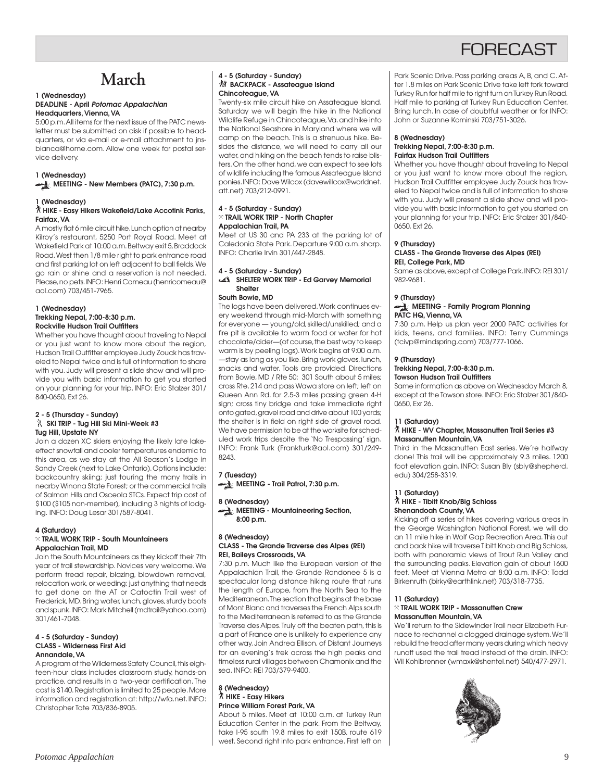## **FORFCAST**

## **March**

#### **1 (Wednesday) DEADLINE - April Potomac Appalachian Headquarters, Vienna, VA**

5:00 p.m. All items for the next issue of the PATC newsletter must be submitted on disk if possible to headquarters, or via e-mail or e-mail attachment to jnsbianca@home.com. Allow one week for postal service delivery.

#### **1 (Wednesday)**

**MEETING - New Members (PATC), 7:30 p.m.** 

#### **1 (Wednesday)**

#### ` **HIKE - Easy Hikers Wakefield/Lake Accotink Parks, Fairfax, VA**

A mostly flat 6 mile circuit hike. Lunch option at nearby Kilroy's restaurant, 5250 Port Royal Road. Meet at Wakefield Park at 10:00 a.m. Beltway exit 5, Braddock Road, West then 1/8 mile right to park entrance road and first parking lot on left adjacent to ball fields. We go rain or shine and a reservation is not needed. Please, no pets. INFO: Henri Comeau (henricomeau@ aol.com) 703/451-7965.

#### **1 (Wednesday) Trekking Nepal, 7:00-8:30 p.m. Rockville Hudson Trail Outfitters**

Whether you have thought about traveling to Nepal or you just want to know more about the region, Hudson Trail Outfitter employee Judy Zouck has traveled to Nepal twice and is full of information to share with you. Judy will present a slide show and will provide you with basic information to get you started on your planning for your trip. INFO: Eric Stalzer 301/ 840-0650, Ext 26.

#### **2 - 5 (Thursday - Sunday) SKI TRIP - Tug Hill Ski Mini-Week #3 Tug Hill, Upstate NY**

Join a dozen XC skiers enjoying the likely late lakeeffect snowfall and cooler temperatures endemic to this area, as we stay at the All Season's Lodge in Sandy Creek (next to Lake Ontario). Options include: backcountry skiing; just touring the many trails in nearby Winona State Forest; or the commercial trails of Salmon Hills and Osceola STCs. Expect trip cost of \$100 (\$105 non-member), including 3 nights of lodging. INFO: Doug Lesar 301/587-8041.

#### **4 (Saturday)** } **TRAIL WORK TRIP - South Mountaineers Appalachian Trail, MD**

Join the South Mountaineers as they kickoff their 7th year of trail stewardship. Novices very welcome. We perform tread repair, blazing, blowdown removal, relocation work, or weeding; just anything that needs to get done on the AT or Catoctin Trail west of Frederick, MD. Bring water, lunch, gloves, sturdy boots and spunk. INFO: Mark Mitchell (mdtrail@yahoo. com) 301/461-7048.

#### **4 - 5 (Saturday - Sunday) CLASS - Wilderness First Aid Annandale, VA**

A program of the Wilderness Safety Council, this eighteen-hour class includes classroom study, hands-on practice, and results in a two-year certification. The cost is \$140. Registration is limited to 25 people. More information and registration at: http://wfa.net. INFO: Christopher Tate 703/836-8905.

#### **4 - 5 (Saturday - Sunday) 然 BACKPACK - Assateague Island Chincoteague, VA**

Twenty-six mile circuit hike on Assateague Island. Saturday we will begin the hike in the National Wildlife Refuge in Chincoteague, Va. and hike into the National Seashore in Maryland where we will camp on the beach. This is a strenuous hike. Besides the distance, we will need to carry all our water, and hiking on the beach tends to raise blisters. On the other hand, we can expect to see lots of wildlife including the famous Assateague Island ponies. INFO: Dave Wilcox (davewillcox@worldnet. att.net) 703/212-0991.

#### **4 - 5 (Saturday - Sunday)** } **TRAIL WORK TRIP - North Chapter Appalachian Trail, PA**

Meet at US 30 and PA 233 at the parking lot of Caledonia State Park. Departure 9:00 a.m. sharp. INFO: Charlie Irvin 301/447-2848.

### **4 - 5 (Saturday - Sunday)**

#### **SHELTER WORK TRIP - Ed Garvey Memorial Shelter**

#### **South Bowie, MD**

The logs have been delivered. Work continues every weekend through mid-March with something for everyone — young/old, skilled/unskilled; and a fire pit is available to warm food or water for hot chocolate/cider—(of course, the best way to keep warm is by peeling logs). Work begins at 9:00 a.m. —stay as long as you like. Bring work gloves, lunch, snacks and water. Tools are provided. Directions from Bowie, MD / Rte 50: 301 South about 5 miles; cross Rte. 214 and pass Wawa store on left; left on Queen Ann Rd. for 2.5-3 miles passing green 4-H sign; cross tiny bridge and take immediate right onto gated, gravel road and drive about 100 yards; the shelter is in field on right side of gravel road. We have permission to be at the worksite for scheduled work trips despite the 'No Trespassing' sign. INFO: Frank Turk (Frankturk@aol.com) 301/249- 8243.

#### **7 (Tuesday)**

**MEETING - Trail Patrol, 7:30 p.m.** 

#### **8 (Wednesday)**

**MEETING - Mountaineering Section, 8:00 p.m.**

#### **8 (Wednesday) CLASS - The Grande Traverse des Alpes (REI) REI, Baileys Crossroads, VA**

7:30 p.m. Much like the European version of the Appalachian Trail, the Grande Randonee 5 is a spectacular long distance hiking route that runs the length of Europe, from the North Sea to the Mediterranean. The section that begins at the base of Mont Blanc and traverses the French Alps south to the Mediterranean is referred to as the Grande Traverse des Alpes. Truly off the beaten path, this is a part of France one is unlikely to experience any other way. Join Andrea Ellison, of Distant Journeys for an evening's trek across the high peaks and timeless rural villages between Chamonix and the sea. INFO: REI 703/379-9400.

#### **8 (Wednesday)** ` **HIKE - Easy Hikers Prince William Forest Park, VA**

About 5 miles. Meet at 10:00 a.m. at Turkey Run Education Center in the park. From the Beltway, take I-95 south 19.8 miles to exit 150B, route 619 west. Second right into park entrance. First left on Park Scenic Drive. Pass parking areas A, B, and C. After 1.8 miles on Park Scenic Drive take left fork toward Turkey Run for half mile to right turn on Turkey Run Road. Half mile to parking at Turkey Run Education Center. Bring lunch. In case of doubtful weather or for INFO: John or Suzanne Kominski 703/751-3026.

#### **8 (Wednesday) Trekking Nepal, 7:00-8:30 p.m. Fairfax Hudson Trail Outfitters**

Whether you have thought about traveling to Nepal or you just want to know more about the region, Hudson Trail Outfitter employee Judy Zouck has traveled to Nepal twice and is full of information to share with you. Judy will present a slide show and will provide you with basic information to get you started on your planning for your trip. INFO: Eric Stalzer 301/840- 0650, Ext 26.

#### **9 (Thursday)**

#### **CLASS - The Grande Traverse des Alpes (REI) REI, College Park, MD**

Same as above, except at College Park. INFO: REI 301/ 982-9681.

#### **9 (Thursday)**

#### **MEETING - Family Program Planning PATC HQ, Vienna, VA**

7:30 p.m. Help us plan year 2000 PATC activities for kids, teens, and families. INFO: Terry Cummings (tcivp@mindspring.com) 703/777-1066.

#### **9 (Thursday)**

#### **Trekking Nepal, 7:00-8:30 p.m.**

#### **Towson Hudson Trail Outfitters**

Same information as above on Wednesday March 8, except at the Towson store. INFO: Eric Stalzer 301/840- 0650, Exr 26.

#### **11 (Saturday)**

#### ` **HIKE - WV Chapter, Massanutten Trail Series #3 Massanutten Mountain, VA**

Third in the Massanutten East series. We're halfway done! This trail will be approximately 9.3 miles. 1200 foot elevation gain. INFO: Susan Bly (sbly@shepherd. edu) 304/258-3319.

#### **11 (Saturday)**

#### ` **HIKE - Tibitt Knob/Big Schloss Shenandoah County, VA**

Kicking off a series of hikes covering various areas in the George Washington National Forest, we will do an 11 mile hike in Wolf Gap Recreation Area. This out and back hike will traverse Tibitt Knob and Big Schloss, both with panoramic views of Trout Run Valley and the surrounding peaks. Elevation gain of about 1600 feet. Meet at Vienna Metro at 8:00 a.m. INFO: Todd Birkenruth (birky@earthlink.net) 703/318-7735.

#### **11 (Saturday)**

#### } **TRAIL WORK TRIP - Massanutten Crew Massanutten Mountain, VA**

We'll return to the Sidewinder Trail near Elizabeth Furnace to rechannel a clogged drainage system. We'll rebuild the tread after many years during which heavy runoff used the trail tread instead of the drain. INFO: Wil Kohlbrenner (wmaxk@shentel.net) 540/477-2971.

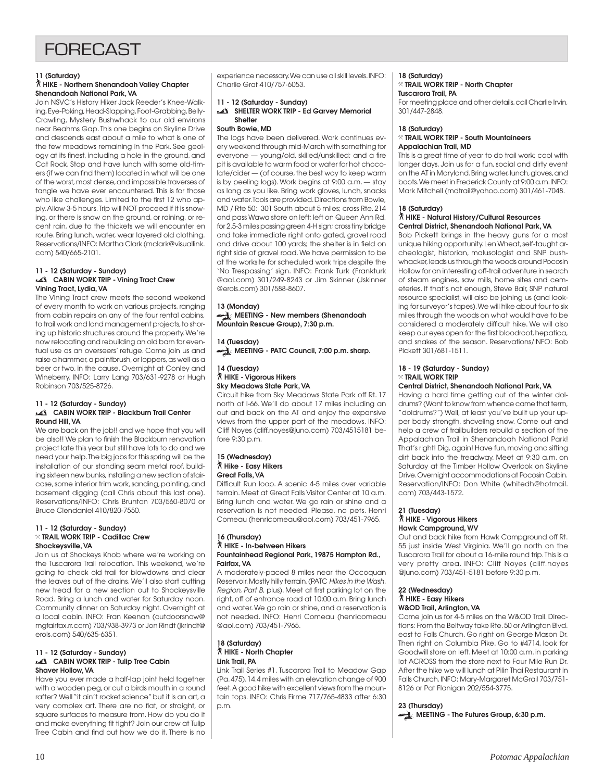## **FORECAST**

#### **11 (Saturday)**

#### ` **HIKE - Northern Shenandoah Valley Chapter Shenandoah National Park, VA**

Join NSVC's History Hiker Jack Reeder's Knee-Walking, Eye-Poking, Head-Slapping, Foot-Grabbing, Belly-Crawling, Mystery Bushwhack to our old environs near Beahms Gap. This one begins on Skyline Drive and descends east about a mile to what is one of the few meadows remaining in the Park. See geology at its finest, including a hole in the ground, and Cat Rock. Stop and have lunch with some old-timers (if we can find them) located in what will be one of the worst, most dense, and impossible traverses of tangle we have ever encountered. This is for those who like challenges. Limited to the first 12 who apply. Allow 3-5 hours. Trip will NOT proceed if it is snowing, or there is snow on the ground, or raining, or recent rain, due to the thickets we will encounter en route. Bring lunch, water, wear layered old clothing. Reservations/INFO: Martha Clark (mclark@visuallink. com) 540/665-2101.

#### **11 - 12 (Saturday - Sunday) CABIN WORK TRIP - Vining Tract Crew Vining Tract, Lydia, VA**

The Vining Tract crew meets the second weekend of every month to work on various projects, ranging from cabin repairs on any of the four rental cabins, to trail work and land management projects, to shoring up historic structures around the property. We're now relocating and rebuilding an old barn for eventual use as an overseers' refuge. Come join us and raise a hammer, a paintbrush, or loppers, as well as a beer or two, in the cause. Overnight at Conley and Wineberry. INFO: Larry Lang 703/631-9278 or Hugh Robinson 703/525-8726.

#### **11 - 12 (Saturday - Sunday) CABIN WORK TRIP - Blackburn Trail Center Round Hill, VA**

We are back on the job!! and we hope that you will be also!! We plan to finish the Blackburn renovation project late this year but still have lots to do and we need your help. The big jobs for this spring will be the installation of our standing seam metal roof, building sixteen new bunks, installing a new section of staircase, some interior trim work, sanding, painting, and basement digging (call Chris about this last one). Reservations/INFO: Chris Brunton 703/560-8070 or Bruce Clendaniel 410/820-7550.

#### **11 - 12 (Saturday - Sunday)** } **TRAIL WORK TRIP - Cadillac Crew Shockeysville, VA**

Join us at Shockeys Knob where we're working on the Tuscarora Trail relocation. This weekend, we're going to check old trail for blowdowns and clear the leaves out of the drains. We'll also start cutting new tread for a new section out to Shockeysville Road. Bring a lunch and water for Saturday noon. Community dinner on Saturday night. Overnight at a local cabin. INFO: Fran Keenan (outdoorsnow@ mgfairfax.rr.com) 703/938-3973 or Jon Rindt (jkrindt@ erols.com) 540/635-6351.

#### **11 - 12 (Saturday - Sunday) CABIN WORK TRIP - Tulip Tree Cabin Shaver Hollow, VA**

Have you ever made a half-lap joint held together with a wooden peg, or cut a birds mouth in a round rafter? Well "it ain't rocket science" but it is an art, a very complex art. There are no flat, or straight, or square surfaces to measure from. How do you do it and make everything fit tight? Join our crew at Tulip Tree Cabin and find out how we do it. There is no experience necessary. We can use all skill levels. INFO: Charlie Graf 410/757-6053.

#### **11 - 12 (Saturday - Sunday)**

#### **SHELTER WORK TRIP - Ed Garvey Memorial Shelter**

#### **South Bowie, MD**

The logs have been delivered. Work continues every weekend through mid-March with something for everyone — young/old, skilled/unskilled; and a fire pit is available to warm food or water for hot chocolate/cider — (of course, the best way to keep warm is by peeling logs). Work begins at 9:00 a.m. — stay as long as you like. Bring work gloves, lunch, snacks and water. Tools are provided. Directions from Bowie, MD / Rte 50: 301 South about 5 miles; cross Rte. 214 and pass Wawa store on left; left on Queen Ann Rd. for 2.5-3 miles passing green 4-H sign; cross tiny bridge and take immediate right onto gated, gravel road and drive about 100 yards; the shelter is in field on right side of gravel road. We have permission to be at the worksite for scheduled work trips despite the 'No Trespassing' sign. INFO: Frank Turk (Frankturk @aol.com) 301/249-8243 or Jim Skinner (Jskinner @erols.com) 301/588-8607.

#### **13 (Monday) MEETING - New members (Shenandoah Mountain Rescue Group), 7:30 p.m.**

### **14 (Tuesday)**

**MEETING - PATC Council, 7:00 p.m. sharp.** 

#### **14 (Tuesday)** ` **HIKE - Vigorous Hikers Sky Meadows State Park, VA**

Circuit hike from Sky Meadows State Park off Rt. 17 north of I-66. We'll do about 17 miles including an out and back on the AT and enjoy the expansive views from the upper part of the meadows. INFO: Cliff Noyes (cliff.noyes@juno.com) 703/4515181 before 9:30 p.m.

#### **15 (Wednesday)** ` **Hike - Easy Hikers Great Falls, VA**

Difficult Run loop. A scenic 4-5 miles over variable terrain. Meet at Great Falls Visitor Center at 10 a.m. Bring lunch and water. We go rain or shine and a reservation is not needed. Please, no pets. Henri Comeau (henricomeau@aol.com) 703/451-7965.

### **16 (Thursday)**

### ` **HIKE - In-between Hikers**

#### **Fountainhead Regional Park, 19875 Hampton Rd., Fairfax, VA**

A moderately-paced 8 miles near the Occoquan Reservoir. Mostly hilly terrain. (PATC Hikes in the Wash. Region, Part B, plus). Meet at first parking lot on the right, off of entrance road at 10:00 a.m. Bring lunch and water. We go rain or shine, and a reservation is not needed. INFO: Henri Comeau (henricomeau @aol.com) 703/451-7965.

#### **18 (Saturday)** ` **HIKE - North Chapter Link Trail, PA**

Link Trail Series #1. Tuscarora Trail to Meadow Gap (Pa. 475). 14.4 miles with an elevation change of 900 feet. A good hike with excellent views from the mountain tops. INFO: Chris Firme 717/765-4833 after 6:30 p.m.

#### **18 (Saturday)** } **TRAIL WORK TRIP - North Chapter Tuscarora Trail, PA**

For meeting place and other details, call Charlie Irvin, 301/447-2848.

## **18 (Saturday)**

#### } **TRAIL WORK TRIP - South Mountaineers Appalachian Trail, MD**

This is a great time of year to do trail work; cool with longer days. Join us for a fun, social and dirty event on the AT in Maryland. Bring water, lunch, gloves, and boots. We meet in Frederick County at 9:00 a.m. INFO: Mark Mitchell (mdtrail@yahoo.com) 301/461-7048.

#### **18 (Saturday)**

#### ` **HIKE - Natural History/Cultural Resources Central District, Shenandoah National Park, VA**

Bob Pickett brings in the heavy guns for a most unique hiking opportunity. Len Wheat, self-taught archeologist, historian, malusologist and SNP bushwhacker, leads us through the woods around Pocosin Hollow for an interesting off-trail adventure in search of steam engines, saw mills, home sites and cemeteries. If that's not enough, Steve Bair, SNP natural resource specialist, will also be joining us (and looking for surveyor's tapes). We will hike about four to six miles through the woods on what would have to be considered a moderately difficult hike. We will also keep our eyes open for the first bloodroot, hepatica, and snakes of the season. Reservations/INFO: Bob Pickett 301/681-1511.

#### **18 - 19 (Saturday - Sunday)** } **TRAIL WORK TRIP**

#### **Central District, Shenandoah National Park, VA**

Having a hard time getting out of the winter doldrums? (Want to know from whence came that term, "doldrums?") Well, at least you've built up your upper body strength, shoveling snow. Come out and help a crew of trailbuilders rebuild a section of the Appalachian Trail in Shenandoah National Park! That's right! Dig, again! Have fun, moving and sifting dirt back into the treadway. Meet at 9:30 a.m. on Saturday at the Timber Hollow Overlook on Skyline Drive. Overnight accommodations at Pocosin Cabin. Reservation/INFO: Don White (whitedh@hotmail. com) 703/443-1572.

#### **21 (Tuesday)** ` **HIKE - Vigorous Hikers Hawk Campground, WV**

Out and back hike from Hawk Campground off Rt. 55 just inside West Virginia. We'll go north on the Tuscarora Trail for about a 16-mile round trip. This is a very pretty area. INFO: Cliff Noyes (cliff.noyes @juno.com) 703/451-5181 before 9:30 p.m.

#### **22 (Wednesday)** ` **HIKE - Easy Hikers W&OD Trail, Arlington, VA**

Come join us for 4-5 miles on the W&OD Trail. Directions: From the Beltway take Rte. 50 or Arlington Blvd. east to Falls Church. Go right on George Mason Dr. Then right on Columbia Pike. Go to #4714, look for Goodwill store on left. Meet at 10:00 a.m. in parking lot ACROSS from the store next to Four Mile Run Dr. After the hike we will lunch at Pilin Thai Restaurant in Falls Church. INFO: Mary-Margaret McGrail 703/751- 8126 or Pat Flanigan 202/554-3775.

**23 (Thursday) MEETING - The Futures Group, 6:30 p.m.**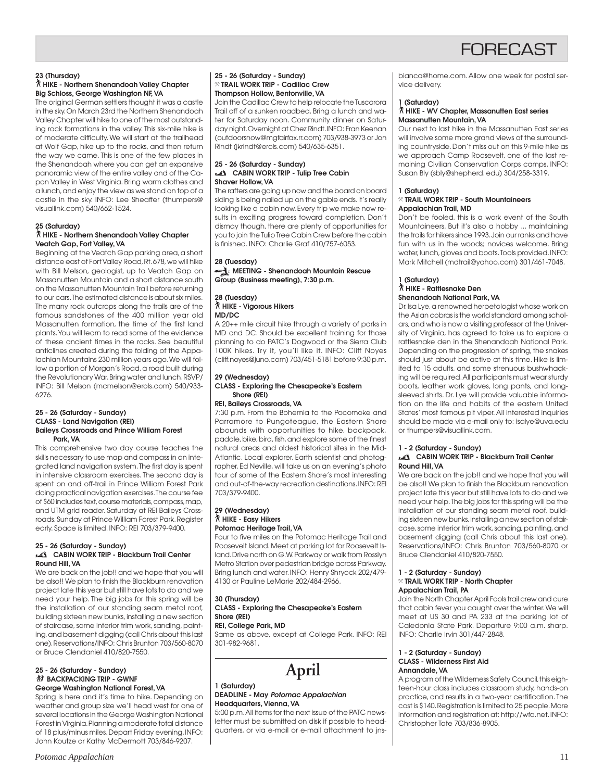## **FORFCAST**

#### **23 (Thursday)**

#### ` **HIKE - Northern Shenandoah Valley Chapter Big Schloss, George Washington NF, VA**

The original German settlers thought it was a castle in the sky. On March 23rd the Northern Shenandoah Valley Chapter will hike to one of the most outstanding rock formations in the valley. This six-mile hike is of moderate difficulty. We will start at the trailhead at Wolf Gap, hike up to the rocks, and then return the way we came. This is one of the few places in the Shenandoah where you can get an expansive panoramic view of the entire valley and of the Capon Valley in West Virginia. Bring warm clothes and a lunch, and enjoy the view as we stand on top of a castle in the sky. INFO: Lee Sheaffer (thumpers@ visuallink.com) 540/662-1524.

#### **25 (Saturday)**

#### ` **HIKE - Northern Shenandoah Valley Chapter Veatch Gap, Fort Valley, VA**

Beginning at the Veatch Gap parking area, a short distance east of Fort Valley Road, Rt. 678, we will hike with Bill Melson, geologist, up to Veatch Gap on Massanutten Mountain and a short distance south on the Massanutten Mountain Trail before returning to our cars. The estimated distance is about six miles. The many rock outcrops along the trails are of the famous sandstones of the 400 million year old Massanutten formation, the time of the first land plants. You will learn to read some of the evidence of these ancient times in the rocks. See beautiful anticlines created during the folding of the Appalachian Mountains 230 million years ago. We will follow a portion of Morgan's Road, a road built during the Revolutionary War. Bring water and lunch. RSVP/ INFO: Bill Melson (mcmelson@erols.com) 540/933- 6276.

#### **25 - 26 (Saturday - Sunday) CLASS - Land Navigation (REI) Baileys Crossroads and Prince William Forest Park, VA**

This comprehensive two day course teaches the skills necessary to use map and compass in an integrated land navigation system. The first day is spent in intensive classroom exercises. The second day is spent on and off-trail in Prince William Forest Park doing practical navigation exercises. The course fee of \$60 includes text, course materials, compass, map, and UTM grid reader. Saturday at REI Baileys Crossroads, Sunday at Prince William Forest Park. Register early. Space is limited. INFO: REI 703/379-9400.

#### **25 - 26 (Saturday - Sunday) CABIN WORK TRIP - Blackburn Trail Center Round Hill, VA**

We are back on the job!! and we hope that you will be also!! We plan to finish the Blackburn renovation project late this year but still have lots to do and we need your help. The big jobs for this spring will be the installation of our standing seam metal roof, building sixteen new bunks, installing a new section of staircase, some interior trim work, sanding, painting, and basement digging (call Chris about this last one). Reservations/INFO: Chris Brunton 703/560-8070 or Bruce Clendaniel 410/820-7550.

#### **25 - 26 (Saturday - Sunday) 然 BACKPACKING TRIP - GWNF George Washington National Forest, VA**

Spring is here and it's time to hike. Depending on weather and group size we'll head west for one of several locations in the George Washington National Forest in Virginia. Planning a moderate total distance of 18 plus/minus miles. Depart Friday evening. INFO: John Koutze or Kathy McDermott 703/846-9207.

#### **25 - 26 (Saturday - Sunday)** } **TRAIL WORK TRIP - Cadillac Crew Thompson Hollow, Bentonville, VA**

Join the Cadillac Crew to help relocate the Tuscarora Trail off of a sunken roadbed. Bring a lunch and water for Saturday noon. Community dinner on Saturday night. Overnight at Chez Rindt. INFO: Fran Keenan (outdoorsnow@mgfairfax.rr.com) 703/938-3973 or Jon Rindt (jkrindt@erols.com) 540/635-6351.

#### **25 - 26 (Saturday - Sunday) CABIN WORK TRIP - Tulip Tree Cabin Shaver Hollow, VA**

The rafters are going up now and the board on board siding is being nailed up on the gable ends. It's really looking like a cabin now. Every trip we make now results in exciting progress toward completion. Don't dismay though, there are plenty of opportunities for you to join the Tulip Tree Cabin Crew before the cabin is finished. INFO: Charlie Graf 410/757-6053.

#### **28 (Tuesday) MEETING - Shenandoah Mountain Rescue Group (Business meeting), 7:30 p.m.**

#### **28 (Tuesday)** ` **HIKE - Vigorous Hikers MD/DC**

A 20++ mile circuit hike through a variety of parks in MD and DC. Should be excellent training for those planning to do PATC's Dogwood or the Sierra Club 100K hikes. Try it, you'll like it. INFO: Cliff Noyes (cliff.noyes@juno.com) 703/451-5181 before 9:30 p.m.

#### **29 (Wednesday) CLASS - Exploring the Chesapeake's Eastern Shore (REI)**

#### **REI, Baileys Crossroads, VA**

7:30 p.m. From the Bohemia to the Pocomoke and Parramore to Pungoteague, the Eastern Shore abounds with opportunities to hike, backpack, paddle, bike, bird, fish, and explore some of the finest natural areas and oldest historical sites in the Mid-Atlantic. Local explorer, Earth scientist and photographer, Ed Neville, will take us on an evening's photo tour of some of the Eastern Shore's most interesting and out-of-the-way recreation destinations. INFO: REI 703/379-9400.

#### **29 (Wednesday)** ` **HIKE - Easy Hikers Potomac Heritage Trail, VA**

Four to five miles on the Potomac Heritage Trail and Roosevelt Island. Meet at parking lot for Roosevelt Island. Drive north on G.W. Parkway or walk from Rosslyn Metro Station over pedestrian bridge across Parkway. Bring lunch and water. INFO: Henry Shryock 202/479- 4130 or Pauline LeMarie 202/484-2966.

#### **30 (Thursday) CLASS - Exploring the Chesapeake's Eastern Shore (REI) REI, College Park, MD**

Same as above, except at College Park. INFO: REI 301-982-9681.

**April**

#### **1 (Saturday) DEADLINE - May Potomac Appalachian Headquarters, Vienna, VA**

5:00 p.m. All items for the next issue of the PATC newsletter must be submitted on disk if possible to headquarters, or via e-mail or e-mail attachment to jnsbianca@home.com. Allow one week for postal service delivery.

#### **1 (Saturday)**

#### ` **HIKE - WV Chapter, Massanutten East series Massanutten Mountain, VA**

Our next to last hike in the Massanutten East series will involve some more grand views of the surrounding countryside. Don't miss out on this 9-mile hike as we approach Camp Roosevelt, one of the last remaining Civilian Conservation Corps camps. INFO: Susan Bly (sbly@shepherd. edu) 304/258-3319.

#### **1 (Saturday)**

#### } **TRAIL WORK TRIP - South Mountaineers Appalachian Trail, MD**

Don't be fooled, this is a work event of the South Mountaineers. But it's also a hobby ... maintaining the trails for hikers since 1993. Join our ranks and have fun with us in the woods; novices welcome. Bring water, lunch, gloves and boots. Tools provided. INFO: Mark Mitchell (mdtrail@yahoo.com) 301/461-7048.

#### **1 (Saturday)** ` **HIKE - Rattlesnake Den Shenandoah National Park, VA**

Dr. Isa Lye, a renowned herpetologist whose work on the Asian cobras is the world standard among scholars, and who is now a visiting professor at the University of Virginia, has agreed to take us to explore a rattlesnake den in the Shenandoah National Park. Depending on the progression of spring, the snakes should just about be active at this time. Hike is limited to 15 adults, and some strenuous bushwhacking will be required. All participants must wear sturdy boots, leather work gloves, long pants, and longsleeved shirts. Dr. Lye will provide valuable information on the life and habits of the eastern United States' most famous pit viper. All interested inquiries should be made via e-mail only to: isalye@uva.edu or thumpers@visuallink.com.

#### **1 - 2 (Saturday - Sunday)**

#### **CABIN WORK TRIP - Blackburn Trail Center Round Hill, VA**

We are back on the job!! and we hope that you will be also!! We plan to finish the Blackburn renovation project late this year but still have lots to do and we need your help. The big jobs for this spring will be the installation of our standing seam metal roof, building sixteen new bunks, installing a new section of staircase, some interior trim work, sanding, painting, and basement digging (call Chris about this last one). Reservations/INFO: Chris Brunton 703/560-8070 or Bruce Clendaniel 410/820-7550.

#### **1 - 2 (Saturday - Sunday)** } **TRAIL WORK TRIP - North Chapter**

#### **Appalachian Trail, PA**

Join the North Chapter April Fools trail crew and cure that cabin fever you caught over the winter. We will meet at US 30 and PA 233 at the parking lot of Caledonia State Park. Departure 9:00 a.m. sharp. INFO: Charlie Irvin 301/447-2848.

#### **1 - 2 (Saturday - Sunday) CLASS - Wilderness First Aid Annandale, VA**

A program of the Wilderness Safety Council, this eighteen-hour class includes classroom study, hands-on practice, and results in a two-year certification. The cost is \$140. Registration is limited to 25 people. More information and registration at: http://wfa.net. INFO: Christopher Tate 703/836-8905.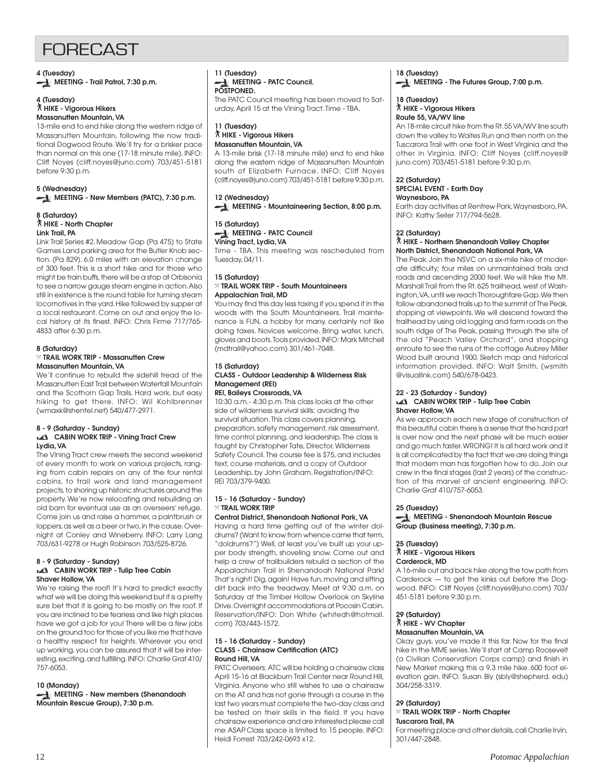## **FORFCAST**

**4 (Tuesday)**

**MEETING - Trail Patrol, 7:30 p.m.** 

## **4 (Tuesday)**

#### ` **HIKE - Vigorous Hikers Massanutten Mountain, VA**

13-mile end to end hike along the western ridge of Massanutten Mountain, following the now traditional Dogwood Route. We'll try for a brisker pace than normal on this one (17-18 minute mile). INFO: Cliff Noyes (cliff.noyes@juno.com) 703/451-5181 before 9:30 p.m.

### **5 (Wednesday) MEETING - New Members (PATC), 7:30 p.m.**

#### **8 (Saturday)** ` **HIKE - North Chapter Link Trail, PA**

Link Trail Series #2. Meadow Gap (Pa 475) to State Games Land parking area for the Butler Knob section. (Pa 829). 6.0 miles with an elevation change of 300 feet. This is a short hike and for those who might be train buffs, there will be a stop at Orbisonia to see a narrow gauge steam engine in action. Also still in existence is the round table for turning steam locomotives in the yard. Hike followed by supper at a local restaurant. Come on out and enjoy the local history at its finest. INFO: Chris Firme 717/765- 4833 after 6:30 p.m.

#### **8 (Saturday)** } **TRAIL WORK TRIP - Massanutten Crew Massanutten Mountain, VA**

We'll continue to rebuild the sidehill tread of the Massanutten East Trail between Waterfall Mountain and the Scothorn Gap Trails. Hard work, but easy hiking to get there. INFO: Wil Kohlbrenner (wmaxk@shentel.net) 540/477-2971.

#### **8 - 9 (Saturday - Sunday) CABIN WORK TRIP - Vining Tract Crew Lydia, VA**

The Vining Tract crew meets the second weekend of every month to work on various projects, ranging from cabin repairs on any of the four rental cabins, to trail work and land management projects, to shoring up historic structures around the property. We're now relocating and rebuilding an old barn for eventual use as an overseers' refuge. Come join us and raise a hammer, a paintbrush or loppers, as well as a beer or two, in the cause. Overnight at Conley and Wineberry. INFO: Larry Lang 703/631-9278 or Hugh Robinson 703/525-8726.

#### **8 - 9 (Saturday - Sunday) CABIN WORK TRIP - Tulip Tree Cabin Shaver Hollow, VA**

We're raising the roof! It's hard to predict exactly what we will be doing this weekend but it is a pretty sure bet that it is going to be mostly on the roof. If you are inclined to be fearless and like high places have we got a job for you! There will be a few jobs on the ground too for those of you like me that have a healthy respect for heights. Wherever you end up working, you can be assured that it will be interesting, exciting, and fulfilling. INFO: Charlie Graf 410/ 757-6053.

#### **10 (Monday)**

**MEETING - New members (Shenandoah Mountain Rescue Group), 7:30 p.m.**

#### **11 (Tuesday) MEETING - PATC Council. POSTPONED.** The PATC Council meeting has been moved to Sat-

urday, April 15 at the Vining Tract. Time - TBA.

#### **11 (Tuesday)** ` **HIKE - Vigorous Hikers Massanutten Mountain, VA**

A 13-mile brisk (17-18 minute mile) end to end hike along the eastern ridge of Massanutten Mountain south of Elizabeth Furnace. INFO: Cliff Noyes (cliff.noyes@juno.com) 703/451-5181 before 9:30 p.m.

#### **12 (Wednesday) MEETING - Mountaineering Section, 8:00 p.m.**

#### **15 (Saturday) MEETING - PATC Council Vining Tract, Lydia, VA**

Time - TBA. This meeting was rescheduled from Tuesday, 04/11.

#### **15 (Saturday)** } **TRAIL WORK TRIP - South Mountaineers Appalachian Trail, MD**

You may find this day less taxing if you spend it in the woods with the South Mountaineers. Trail maintenance is FUN, a hobby for many, certainly not like doing taxes. Novices welcome. Bring water, lunch, gloves and boots. Tools provided. INFO: Mark Mitchell (mdtrail@yahoo.com) 301/461-7048.

#### **15 (Saturday) CLASS - Outdoor Leadership & Wilderness Risk Management (REI) REI, Baileys Crossroads, VA**

#### 10:30 a.m.- 4:30 p.m. This class looks at the other side of wilderness survival skills: avoiding the survival situation. This class covers planning, preparation, safety management, risk assessment, time control planning, and leadership. The class is taught by Christopher Tate, Director, Wilderness Safety Council. The course fee is \$75, and includes text, course materials, and a copy of Outdoor Leadership, by John Graham. Registration/INFO: REI 703/379-9400.

#### **15 - 16 (Saturday - Sunday)** } **TRAIL WORK TRIP**

**Central District, Shenandoah National Park, VA** Having a hard time getting out of the winter doldrums? (Want to know from whence came that term, "doldrums?") Well, at least you've built up your upper body strength, shoveling snow. Come out and help a crew of trailbuilders rebuild a section of the Appalachian Trail in Shenandoah National Park! That's right! Dig, again! Have fun, moving and sifting dirt back into the treadway. Meet at 9:30 a.m. on Saturday at the Timber Hollow Overlook on Skyline Drive. Overnight accommodations at Pocosin Cabin. Reservation/INFO: Don White (whitedh@hotmail. com) 703/443-1572.

#### **15 - 16 (Saturday - Sunday) CLASS - Chainsaw Certification (ATC) Round Hill, VA**

PATC Overseers: ATC will be holding a chainsaw class April 15-16 at Blackburn Trail Center near Round Hill, Virginia. Anyone who still wishes to use a chainsaw on the AT and has not gone through a course in the last two years must complete the two-day class and be tested on their skills in the field. If you have chainsaw experience and are interested please call me ASAP. Class space is limited to 15 people. INFO: Heidi Forrest 703/242-0693 x12.

#### **18 (Tuesday) MEETING - The Futures Group, 7:00 p.m.**

#### **18 (Tuesday)** ` **HIKE - Vigorous Hikers Route 55, VA/WV line**

An 18-mile circuit hike from the Rt. 55 VA/WV line south down the valley to Waites Run and then north on the Tuscarora Trail with one foot in West Virginia and the other in Virginia. INFO: Cliff Noyes (cliff.noyes@ juno.com) 703/451-5181 before 9:30 p.m.

## **22 (Saturday)**

#### **SPECIAL EVENT - Earth Day Waynesboro, PA**

Earth day activities at Renfrew Park, Waynesboro, PA. INFO: Kathy Seiler 717/794-5628.

## **22 (Saturday)**

#### ` **HIKE - Northern Shenandoah Valley Chapter North District, Shenandoah National Park, VA**

The Peak. Join the NSVC on a six-mile hike of moderate difficulty; four miles on unmaintained trails and roads and ascending 2000 feet. We will hike the Mt. Marshall Trail from the Rt. 625 trailhead, west of Washington, VA, until we reach Thoroughfare Gap. We then follow abandoned trails up to the summit of The Peak, stopping at viewpoints. We will descend toward the trailhead by using old logging and farm roads on the south ridge of The Peak, passing through the site of the old "Peach Valley Orchard", and stopping enroute to see the ruins of the cottage Aubrey Miller Wood built around 1900. Sketch map and historical information provided. INFO: Walt Smith, (wsmith @visuallink.com) 540/678-0423.

#### **22 - 23 (Saturday - Sunday)**

#### **CABIN WORK TRIP - Tulip Tree Cabin Shaver Hollow, VA**

As we approach each new stage of construction of this beautiful cabin there is a sense that the hard part is over now and the next phase will be much easier and go much faster. WRONG! It is all hard work and it is all complicated by the fact that we are doing things that modern man has forgotten how to do. Join our crew in the final stages (last 2 years) of the construction of this marvel of ancient engineering. INFO: Charlie Graf 410/757-6053.

#### **25 (Tuesday)**

**MEETING - Shenandoah Mountain Rescue Group (Business meeting), 7:30 p.m.**

### **25 (Tuesday)**

### ` **HIKE - Vigorous Hikers**

#### **Carderock, MD**

A 16-mile out and back hike along the tow path from Carderock — to get the kinks out before the Dogwood. INFO: Cliff Noyes (cliff.noyes@juno.com) 703/ 451-5181 before 9:30 p.m.

#### **29 (Saturday)** ` **HIKE - WV Chapter Massanutten Mountain, VA**

Okay guys, you've made it this far. Now for the final hike in the MME series. We'll start at Camp Roosevelt (a Civilian Conservation Corps camp) and finish in New Market making this a 9.3 mile hike. 600 foot elevation gain. INFO: Susan Bly (sbly@shepherd. edu) 304/258-3319.

#### **29 (Saturday)**

#### } **TRAIL WORK TRIP - North Chapter Tuscarora Trail, PA**

For meeting place and other details, call Charlie Irvin, 301/447-2848.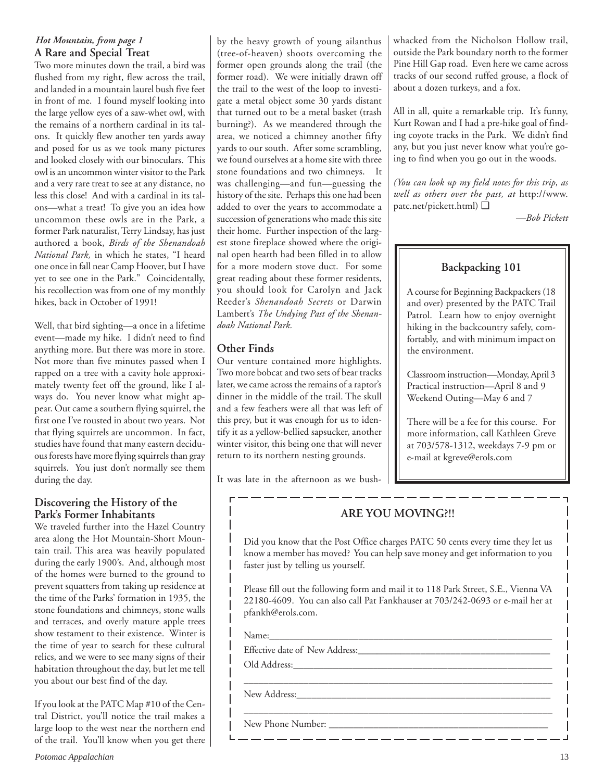### *Hot Mountain, from page 1* **A Rare and Special Treat**

Two more minutes down the trail, a bird was flushed from my right, flew across the trail, and landed in a mountain laurel bush five feet in front of me. I found myself looking into the large yellow eyes of a saw-whet owl, with the remains of a northern cardinal in its talons. It quickly flew another ten yards away and posed for us as we took many pictures and looked closely with our binoculars. This owl is an uncommon winter visitor to the Park and a very rare treat to see at any distance, no less this close! And with a cardinal in its talons—what a treat! To give you an idea how uncommon these owls are in the Park, a former Park naturalist, Terry Lindsay, has just authored a book, *Birds of the Shenandoah National Park,* in which he states, "I heard one once in fall near Camp Hoover, but I have yet to see one in the Park." Coincidentally, his recollection was from one of my monthly hikes, back in October of 1991!

Well, that bird sighting—a once in a lifetime event—made my hike. I didn't need to find anything more. But there was more in store. Not more than five minutes passed when I rapped on a tree with a cavity hole approximately twenty feet off the ground, like I always do. You never know what might appear. Out came a southern flying squirrel, the first one I've rousted in about two years. Not that flying squirrels are uncommon. In fact, studies have found that many eastern deciduous forests have more flying squirrels than gray squirrels. You just don't normally see them during the day.

### **Discovering the History of the Park's Former Inhabitants**

We traveled further into the Hazel Country area along the Hot Mountain-Short Mountain trail. This area was heavily populated during the early 1900's. And, although most of the homes were burned to the ground to prevent squatters from taking up residence at the time of the Parks' formation in 1935, the stone foundations and chimneys, stone walls and terraces, and overly mature apple trees show testament to their existence. Winter is the time of year to search for these cultural relics, and we were to see many signs of their habitation throughout the day, but let me tell you about our best find of the day.

If you look at the PATC Map #10 of the Central District, you'll notice the trail makes a large loop to the west near the northern end of the trail. You'll know when you get there by the heavy growth of young ailanthus (tree-of-heaven) shoots overcoming the former open grounds along the trail (the former road). We were initially drawn off the trail to the west of the loop to investigate a metal object some 30 yards distant that turned out to be a metal basket (trash burning?). As we meandered through the area, we noticed a chimney another fifty yards to our south. After some scrambling, we found ourselves at a home site with three stone foundations and two chimneys. It was challenging—and fun—guessing the history of the site. Perhaps this one had been added to over the years to accommodate a succession of generations who made this site their home. Further inspection of the largest stone fireplace showed where the original open hearth had been filled in to allow for a more modern stove duct. For some great reading about these former residents, you should look for Carolyn and Jack Reeder's *Shenandoah Secrets* or Darwin Lambert's *The Undying Past of the Shenandoah National Park.*

## **Other Finds**

Our venture contained more highlights. Two more bobcat and two sets of bear tracks later, we came across the remains of a raptor's dinner in the middle of the trail. The skull and a few feathers were all that was left of this prey, but it was enough for us to identify it as a yellow-bellied sapsucker, another winter visitor, this being one that will never return to its northern nesting grounds.

It was late in the afternoon as we bush-

whacked from the Nicholson Hollow trail, outside the Park boundary north to the former Pine Hill Gap road. Even here we came across tracks of our second ruffed grouse, a flock of about a dozen turkeys, and a fox.

All in all, quite a remarkable trip. It's funny, Kurt Rowan and I had a pre-hike goal of finding coyote tracks in the Park. We didn't find any, but you just never know what you're going to find when you go out in the woods.

*(You can look up my field notes for this trip, as well as others over the past, at* http://www. patc.net/pickett.html) ❑

*—Bob Pickett*

## **Backpacking 101**

A course for Beginning Backpackers (18 and over) presented by the PATC Trail Patrol. Learn how to enjoy overnight hiking in the backcountry safely, comfortably, and with minimum impact on the environment.

Classroom instruction—Monday, April 3 Practical instruction—April 8 and 9 Weekend Outing—May 6 and 7

There will be a fee for this course. For more information, call Kathleen Greve at 703/578-1312, weekdays 7-9 pm or e-mail at kgreve@erols.com

## **ARE YOU MOVING?!!**

Did you know that the Post Office charges PATC 50 cents every time they let us know a member has moved? You can help save money and get information to you faster just by telling us yourself.

Please fill out the following form and mail it to 118 Park Street, S.E., Vienna VA 22180-4609. You can also call Pat Fankhauser at 703/242-0693 or e-mail her at pfankh@erols.com.

\_\_\_\_\_\_\_\_\_\_\_\_\_\_\_\_\_\_\_\_\_\_\_\_\_\_\_\_\_\_\_\_\_\_\_\_\_\_\_\_\_\_\_\_\_\_\_\_\_\_\_\_\_\_\_\_\_\_\_\_\_\_

\_\_\_\_\_\_\_\_\_\_\_\_\_\_\_\_\_\_\_\_\_\_\_

Name:

 $\overline{\phantom{a}}$ 

 $\overline{\phantom{a}}$ 

Effective date of New Address:\_\_\_\_\_\_\_\_\_\_\_\_\_\_\_\_\_\_\_\_\_\_\_\_\_\_\_\_\_\_\_\_\_\_\_\_\_\_\_

Old Address:\_\_\_\_\_\_\_\_\_\_\_\_\_\_\_\_\_\_\_\_\_\_\_\_\_\_\_\_\_\_\_\_\_\_\_\_\_\_\_\_\_\_\_\_\_\_\_\_\_\_\_\_

New Address:\_\_\_\_\_\_\_\_\_\_\_\_\_\_\_\_\_\_\_\_\_\_\_\_\_\_\_\_\_\_\_\_\_\_\_\_\_\_\_\_\_\_\_\_\_\_\_\_\_\_\_

New Phone Number: \_\_\_\_\_\_\_\_\_\_\_\_\_\_\_\_\_\_\_\_\_\_\_\_\_\_\_\_\_\_\_\_\_\_\_\_\_\_\_\_\_\_\_\_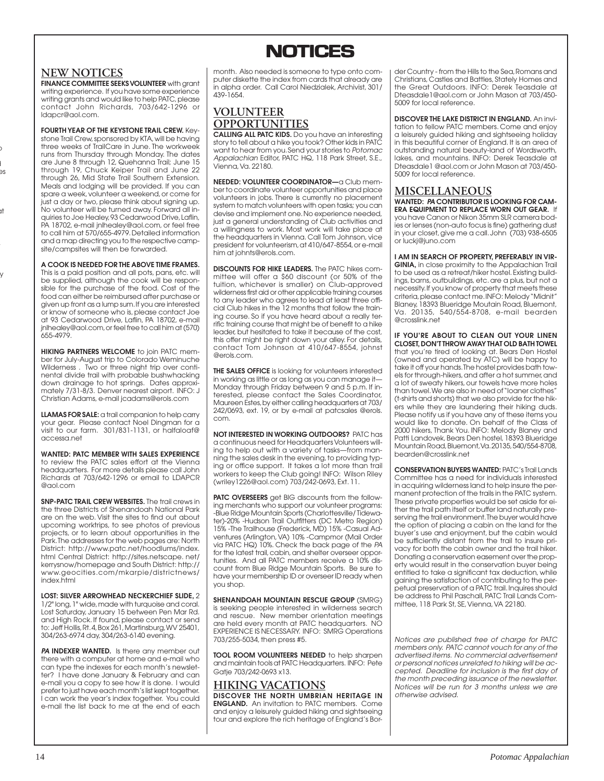

### **NEW NOTICES**

o d es

at

y

**FINANCE COMMITTEE SEEKS VOLUNTEER** with grant writing experience. If you have some experience writing grants and would like to help PATC, please contact John Richards, 703/642-1296 or ldapcr@aol.com.

**FOURTH YEAR OF THE KEYSTONE TRAIL CREW.** Keystone Trail Crew, sponsored by KTA, will be having three weeks of TrailCare in June. The workweek runs from Thursday through Monday. The dates are June 8 through 12, Quehanna Trail; June 15 through 19, Chuck Keiper Trail and June 22 through 26, Mid State Trail Southern Extension. Meals and lodging will be provided. If you can spare a week, volunteer a weekend, or come for just a day or two, please think about signing up. No volunteer will be turned away. Forward all inquiries to Joe Healey, 93 Cedarwood Drive, Laflin, PA 18702, e-mail jnlhealey@aol.com, or feel free to call him at 570/655-4979. Detailed information and a map directing you to the respective campsite/campsites will then be forwarded.

**A COOK IS NEEDED FOR THE ABOVE TIME FRAMES.** This is a paid position and all pots, pans, etc. will be supplied, although the cook will be responsible for the purchase of the food. Cost of the food can either be reimbursed after purchase or given up front as a lump sum. If you are interested or know of someone who is, please contact Joe at 93 Cedarwood Drive, Laflin, PA 18702, e-mail jnlhealey@aol.com, or feel free to call him at (570) 655-4979.

**HIKING PARTNERS WELCOME** to join PATC member for July-August trip to Colorado Weminuche Wilderness . Two or three night trip over continental divide trail with probable bushwhacking down drainage to hot springs. Dates approximately 7/31-8/3. Denver nearest airport. INFO: J Christian Adams, e-mail jcadams@erols.com

**LLAMAS FOR SALE:** a trail companion to help carry your gear. Please contact Noel Dingman for a visit to our farm. 301/831-1131, or halfaloaf@ accessa.net

**WANTED: PATC MEMBER WITH SALES EXPERIENCE** to review the PATC sales effort at the Vienna headquarters. For more details please call John Richards at 703/642-1296 or email to LDAPCR @aol.com

**SNP-PATC TRAIL CREW WEBSITES.** The trail crews in the three Districts of Shenandoah National Park are on the web. Visit the sites to find out about upcoming worktrips, to see photos of previous projects, or to learn about opportunities in the Park. The addresses for the web pages are: North District: http://www.patc.net/hoodlums/index. html Central District: http://sites.netscape. net/ kerrysnow/homepage and South District: http:// www.geocities.com/mkarpie/districtnews/ index.html

**LOST: SILVER ARROWHEAD NECKERCHIEF SLIDE,** 2 1/2" long, 1" wide, made with turquoise and coral. Lost Saturday, January 15 between Pen Mar Rd. and High Rock. If found, please contact or send to: Jeff Hollis, Rt. 4, Box 261, Martinsburg, WV 25401, 304/263-6974 day, 304/263-6140 evening.

**PA INDEXER WANTED.** Is there any member out there with a computer at home and e-mail who can type the indexes for each month's newsletter? I have done January & February and can e-mail you a copy to see how it is done. I would prefer to just have each month's list kept together. I can work the year's index together. You could e-mail the list back to me at the end of each month. Also needed is someone to type onto computer diskette the index from cards that already are in alpha order. Call Carol Niedzialek, Archivist, 301/ 439-1654.

## **VOLUNTEER OPPORTUNITIES**

**CALLING ALL PATC KIDS.** Do you have an interesting story to tell about a hike you took? Other kids in PATC want to hear from you. Send your stories to Potomac Appalachian Editor, PATC HQ, 118 Park Street, S.E., Vienna, Va. 22180.

**NEEDED: VOLUNTEER COORDINATOR—**a Club member to coordinate volunteer opportunities and place volunteers in jobs. There is currently no placement system to match volunteers with open tasks; you can devise and implement one. No experience needed, just a general understanding of Club activities and a willingness to work. Most work will take place at the headquarters in Vienna. Call Tom Johnson, vice president for volunteerism, at 410/647-8554, or e-mail him at johnts@erols.com.

**DISCOUNTS FOR HIKE LEADERS.** The PATC hikes committee will offer a \$60 discount (or 50% of the tuition, whichever is smaller) on Club-approved wilderness first aid or other applicable training courses to any leader who agrees to lead at least three official Club hikes in the 12 months that follow the training course. So if you have heard about a really terrific training course that might be of benefit to a hike leader, but hesitated to take it because of the cost, this offer might be right down your alley. For details, contact Tom Johnson at 410/647-8554, johnst @erols.com.

**THE SALES OFFICE** is looking for volunteers interested in working as little or as long as you can manage it— Monday through Friday between 9 and 5 p.m. If interested, please contact the Sales Coordinator, Maureen Estes, by either calling headquarters at 703/ 242/0693, ext. 19, or by e-mail at patcsales @erols. com.

**NOT INTERESTED IN WORKING OUTDOORS?** PATC has a continuous need for Headquarters Volunteers willing to help out with a variety of tasks—from manning the sales desk in the evening, to providing typing or office support. It takes a lot more than trail workers to keep the Club going! INFO: Wilson Riley (wriley1226@aol.com) 703/242-0693, Ext. 11.

**PATC OVERSEERS** get BIG discounts from the following merchants who support our volunteer programs: -Blue Ridge Mountain Sports (Charlottesville/ Tidewater)-20% -Hudson Trail Outfitters (DC Metro Region) 15% -The Trailhouse (Frederick, MD) 15% -Casual Adventures (Arlington, VA) 10% -Campmor (Mail Order via PATC HQ) 10%. Check the back page of the PA for the latest trail, cabin, and shelter overseer opportunities. And all PATC members receive a 10% discount from Blue Ridge Mountain Sports. Be sure to have your membership ID or overseer ID ready when you shop.

**SHENANDOAH MOUNTAIN RESCUE GROUP** (SMRG) is seeking people interested in wilderness search and rescue. New member orientation meetings are held every month at PATC headquarters. NO EXPERIENCE IS NECESSARY. INFO: SMRG Operations 703/255-5034, then press #5.

**TOOL ROOM VOLUNTEERS NEEDED** to help sharpen and maintain tools at PATC Headquarters. INFO: Pete Gatje 703/242-0693 x13.

## **HIKING VACATIONS DISCOVER THE NORTH UMBRIAN HERITAGE IN**

**ENGLAND.** An invitation to PATC members. Come and enjoy a leisurely guided hiking and sightseeing tour and explore the rich heritage of England's Border Country - from the Hills to the Sea, Romans and Christians, Castles and Battles, Stately Homes and the Great Outdoors. INFO: Derek Teasdale at Dteasdale1@aol.com or John Mason at 703/450- 5009 for local reference.

**DISCOVER THE LAKE DISTRICT IN ENGLAND.** An invitation to fellow PATC members. Come and enjoy a leisurely guided hiking and sightseeing holiday in this beautiful corner of England. It is an area of outstanding natural beauty-land of Wordsworth, lakes, and mountains. INFO: Derek Teasdale at Dteasdale1 @aol.com or John Mason at 703/450- 5009 for local reference.

### **MISCELLANEOUS**

**WANTED: PA CONTRIBUTOR IS LOOKING FOR CAM-ERA EQUIPMENT TO REPLACE WORN OUT GEAR.** If you have Canon or Nikon 35mm SLR camera bodies or lenses (non-auto focus is fine) gathering dust in your closet, give me a call. John (703) 938-6505 or luckj@juno.com

**I AM IN SEARCH OF PROPERTY, PREFERABLY IN VIR-GINIA,** in close proximity to the Appalachian Trail to be used as a retreat/hiker hostel. Existing buildings, barns, outbuildings, etc. are a plus, but not a necessity. If you know of property that meets these criteria, please contact me. INFO: Melody "Midnit" Blaney, 18393 Blueridge Moutain Road, Bluemont, Va. 20135, 540/554-8708, e-mail bearden @crosslink.net

**IF YOU'RE ABOUT TO CLEAN OUT YOUR LINEN CLOSET, DON'T THROW AWAY THAT OLD BATH TOWEL** that you're tired of looking at. Bears Den Hostel (owned and operated by ATC) will be happy to take it off your hands. The hostel provides bath towels for through-hikers, and after a hot summer, and a lot of sweaty hikers, our towels have more holes than towel. We are also in need of "loaner clothes" (t-shirts and shorts) that we also provide for the hikers while they are laundering their hiking duds. Please notify us if you have any of these items you would like to donate. On behalf of the Class of 2000 hikers, Thank You. INFO: Melody Blaney and Patti Landovek, Bears Den hostel, 18393 Blueridge Mountain Road, Bluemont, Va. 20135, 540/554-8708, bearden@crosslink.net

**CONSERVATION BUYERS WANTED:** PATC's Trail Lands Committee has a need for individuals interested in acquiring wilderness land to help insure the permanent protection of the trails in the PATC system. These private properties would be set aside for either the trail path itself or buffer land naturally preserving the trail environment. The buyer would have the option of placing a cabin on the land for the buyer's use and enjoyment, but the cabin would be sufficiently distant from the trail to insure privacy for both the cabin owner and the trail hiker. Donating a conservation easement over the property would result in the conservation buyer being entitled to take a significant tax deduction, while gaining the satisfaction of contributing to the perpetual preservation of a PATC trail. Inquires should be address to Phil Paschall, PATC Trail Lands Committee, 118 Park St, SE, Vienna, VA 22180.

Notices are published free of charge for PATC members only. PATC cannot vouch for any of the advertised items. No commercial advertisement or personal notices unrelated to hiking will be accepted. Deadline for inclusion is the first day of the month preceding issuance of the newsletter. Notices will be run for 3 months unless we are otherwise advised.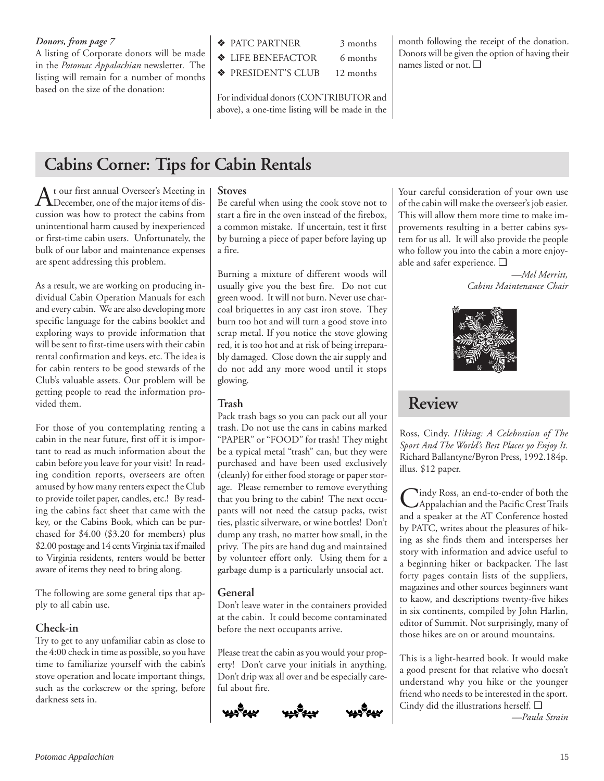### *Donors, from page 7*  $\oint$  **AVALUARTIVER** 3 months

A listing of Corporate donors will be made in the *Potomac Appalachian* newsletter. The listing will remain for a number of months based on the size of the donation:

- - ❖ LIFE BENEFACTOR 6 months

❖ PRESIDENT'S CLUB 12 months

For individual donors (CONTRIBUTOR and above), a one-time listing will be made in the month following the receipt of the donation. Donors will be given the option of having their names listed or not. ❑

## **Cabins Corner: Tips for Cabin Rentals**

At our first annual Overseer's Meeting in December, one of the major items of discussion was how to protect the cabins from unintentional harm caused by inexperienced or first-time cabin users. Unfortunately, the bulk of our labor and maintenance expenses are spent addressing this problem.

As a result, we are working on producing individual Cabin Operation Manuals for each and every cabin. We are also developing more specific language for the cabins booklet and exploring ways to provide information that will be sent to first-time users with their cabin rental confirmation and keys, etc. The idea is for cabin renters to be good stewards of the Club's valuable assets. Our problem will be getting people to read the information provided them.

For those of you contemplating renting a cabin in the near future, first off it is important to read as much information about the cabin before you leave for your visit! In reading condition reports, overseers are often amused by how many renters expect the Club to provide toilet paper, candles, etc.! By reading the cabins fact sheet that came with the key, or the Cabins Book, which can be purchased for \$4.00 (\$3.20 for members) plus \$2.00 postage and 14 cents Virginia tax if mailed to Virginia residents, renters would be better aware of items they need to bring along.

The following are some general tips that apply to all cabin use.

## **Check-in**

Try to get to any unfamiliar cabin as close to the 4:00 check in time as possible, so you have time to familiarize yourself with the cabin's stove operation and locate important things, such as the corkscrew or the spring, before darkness sets in.

### **Stoves**

Be careful when using the cook stove not to start a fire in the oven instead of the firebox, a common mistake. If uncertain, test it first by burning a piece of paper before laying up a fire.

Burning a mixture of different woods will usually give you the best fire. Do not cut green wood. It will not burn. Never use charcoal briquettes in any cast iron stove. They burn too hot and will turn a good stove into scrap metal. If you notice the stove glowing red, it is too hot and at risk of being irreparably damaged. Close down the air supply and do not add any more wood until it stops glowing.

### **Trash**

Pack trash bags so you can pack out all your trash. Do not use the cans in cabins marked "PAPER" or "FOOD" for trash! They might be a typical metal "trash" can, but they were purchased and have been used exclusively (cleanly) for either food storage or paper storage. Please remember to remove everything that you bring to the cabin! The next occupants will not need the catsup packs, twist ties, plastic silverware, or wine bottles! Don't dump any trash, no matter how small, in the privy. The pits are hand dug and maintained by volunteer effort only. Using them for a garbage dump is a particularly unsocial act.

## **General**

Don't leave water in the containers provided at the cabin. It could become contaminated before the next occupants arrive.

Please treat the cabin as you would your property! Don't carve your initials in anything. Don't drip wax all over and be especially careful about fire.





Your careful consideration of your own use of the cabin will make the overseer's job easier. This will allow them more time to make improvements resulting in a better cabins system for us all. It will also provide the people who follow you into the cabin a more enjoyable and safer experience. ❑

*—Mel Merritt, Cabins Maintenance Chair*



## **Review**

Ross, Cindy. *Hiking: A Celebration of The Sport And The World's Best Places yo Enjoy It.* Richard Ballantyne/Byron Press, 1992.184p. illus. \$12 paper.

Cindy Ross, an end-to-ender of both the<br>Appalachian and the Pacific Crest Trails and a speaker at the AT Conference hosted by PATC, writes about the pleasures of hiking as she finds them and intersperses her story with information and advice useful to a beginning hiker or backpacker. The last forty pages contain lists of the suppliers, magazines and other sources beginners want to kaow, and descriptions twenty-five hikes in six continents, compiled by John Harlin, editor of Summit. Not surprisingly, many of those hikes are on or around mountains.

This is a light-hearted book. It would make a good present for that relative who doesn't understand why you hike or the younger friend who needs to be interested in the sport. Cindy did the illustrations herself. ❑

*—Paula Strain*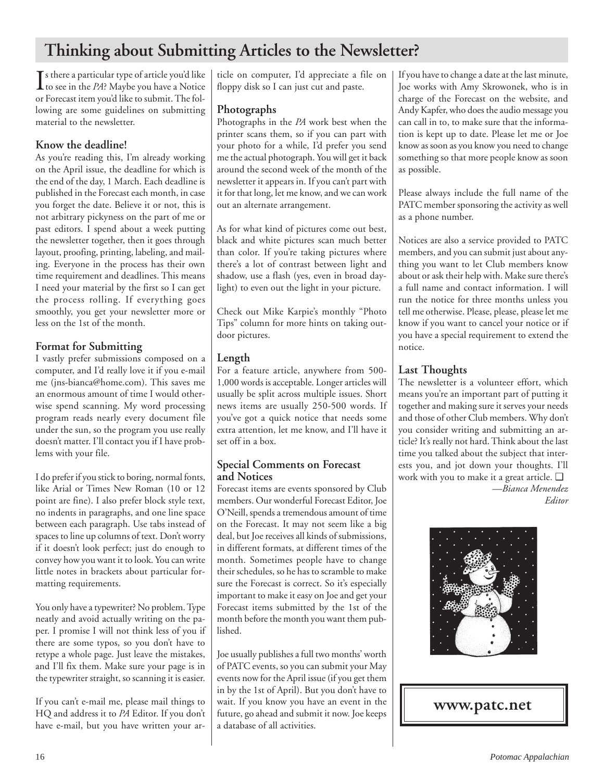## **Thinking about Submitting Articles to the Newsletter?**

 $\prod$ s there a particular type of article you'd like<br>to see in the *PA*? Maybe you have a Notice to see in the *PA*? Maybe you have a Notice or Forecast item you'd like to submit. The following are some guidelines on submitting material to the newsletter.

## **Know the deadline!**

As you're reading this, I'm already working on the April issue, the deadline for which is the end of the day, 1 March. Each deadline is published in the Forecast each month, in case you forget the date. Believe it or not, this is not arbitrary pickyness on the part of me or past editors. I spend about a week putting the newsletter together, then it goes through layout, proofing, printing, labeling, and mailing. Everyone in the process has their own time requirement and deadlines. This means I need your material by the first so I can get the process rolling. If everything goes smoothly, you get your newsletter more or less on the 1st of the month.

## **Format for Submitting**

I vastly prefer submissions composed on a computer, and I'd really love it if you e-mail me (jns-bianca@home.com). This saves me an enormous amount of time I would otherwise spend scanning. My word processing program reads nearly every document file under the sun, so the program you use really doesn't matter. I'll contact you if I have problems with your file.

I do prefer if you stick to boring, normal fonts, like Arial or Times New Roman (10 or 12 point are fine). I also prefer block style text, no indents in paragraphs, and one line space between each paragraph. Use tabs instead of spaces to line up columns of text. Don't worry if it doesn't look perfect; just do enough to convey how you want it to look. You can write little notes in brackets about particular formatting requirements.

You only have a typewriter? No problem. Type neatly and avoid actually writing on the paper. I promise I will not think less of you if there are some typos, so you don't have to retype a whole page. Just leave the mistakes, and I'll fix them. Make sure your page is in the typewriter straight, so scanning it is easier.

If you can't e-mail me, please mail things to HQ and address it to *PA* Editor. If you don't have e-mail, but you have written your ar-

ticle on computer, I'd appreciate a file on floppy disk so I can just cut and paste.

## **Photographs**

Photographs in the *PA* work best when the printer scans them, so if you can part with your photo for a while, I'd prefer you send me the actual photograph. You will get it back around the second week of the month of the newsletter it appears in. If you can't part with it for that long, let me know, and we can work out an alternate arrangement.

As for what kind of pictures come out best, black and white pictures scan much better than color. If you're taking pictures where there's a lot of contrast between light and shadow, use a flash (yes, even in broad daylight) to even out the light in your picture.

Check out Mike Karpie's monthly "Photo Tips" column for more hints on taking outdoor pictures.

## **Length**

For a feature article, anywhere from 500- 1,000 words is acceptable. Longer articles will usually be split across multiple issues. Short news items are usually 250-500 words. If you've got a quick notice that needs some extra attention, let me know, and I'll have it set off in a box.

## **Special Comments on Forecast and Notices**

Forecast items are events sponsored by Club members. Our wonderful Forecast Editor, Joe O'Neill, spends a tremendous amount of time on the Forecast. It may not seem like a big deal, but Joe receives all kinds of submissions, in different formats, at different times of the month. Sometimes people have to change their schedules, so he has to scramble to make sure the Forecast is correct. So it's especially important to make it easy on Joe and get your Forecast items submitted by the 1st of the month before the month you want them published.

Joe usually publishes a full two months' worth of PATC events, so you can submit your May events now for the April issue (if you get them in by the 1st of April). But you don't have to wait. If you know you have an event in the future, go ahead and submit it now. Joe keeps a database of all activities.

If you have to change a date at the last minute, Joe works with Amy Skrowonek, who is in charge of the Forecast on the website, and Andy Kapfer, who does the audio message you can call in to, to make sure that the information is kept up to date. Please let me or Joe know as soon as you know you need to change something so that more people know as soon as possible.

Please always include the full name of the PATC member sponsoring the activity as well as a phone number.

Notices are also a service provided to PATC members, and you can submit just about anything you want to let Club members know about or ask their help with. Make sure there's a full name and contact information. I will run the notice for three months unless you tell me otherwise. Please, please, please let me know if you want to cancel your notice or if you have a special requirement to extend the notice.

## **Last Thoughts**

The newsletter is a volunteer effort, which means you're an important part of putting it together and making sure it serves your needs and those of other Club members. Why don't you consider writing and submitting an article? It's really not hard. Think about the last time you talked about the subject that interests you, and jot down your thoughts. I'll work with you to make it a great article. ❑

*—Bianca Menendez Editor*



## **www.patc.net**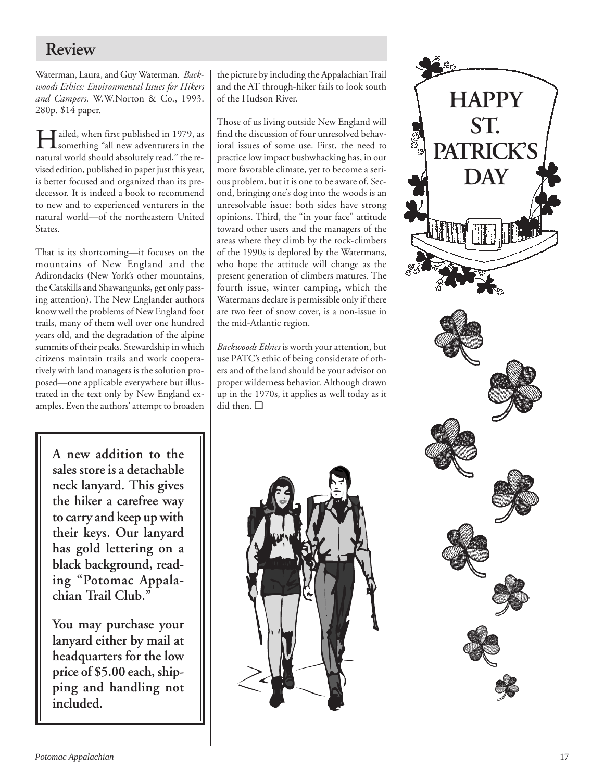## **Review**

Waterman, Laura, and Guy Waterman. *Backwoods Ethics: Environmental Issues for Hikers and Campers.* W.W.Norton & Co., 1993. 280p. \$14 paper.

Hailed, when first published in 1979, as something "all new adventurers in the natural world should absolutely read," the revised edition, published in paper just this year, is better focused and organized than its predecessor. It is indeed a book to recommend to new and to experienced venturers in the natural world—of the northeastern United States.

That is its shortcoming—it focuses on the mountains of New England and the Adirondacks (New York's other mountains, the Catskills and Shawangunks, get only passing attention). The New Englander authors know well the problems of New England foot trails, many of them well over one hundred years old, and the degradation of the alpine summits of their peaks. Stewardship in which citizens maintain trails and work cooperatively with land managers is the solution proposed—one applicable everywhere but illustrated in the text only by New England examples. Even the authors' attempt to broaden

**A new addition to the sales store is a detachable neck lanyard. This gives the hiker a carefree way to carry and keep up with their keys. Our lanyard has gold lettering on a black background, reading "Potomac Appalachian Trail Club."**

**You may purchase your lanyard either by mail at headquarters for the low price of \$5.00 each, shipping and handling not included.**

the picture by including the Appalachian Trail and the AT through-hiker fails to look south of the Hudson River.

Those of us living outside New England will find the discussion of four unresolved behavioral issues of some use. First, the need to practice low impact bushwhacking has, in our more favorable climate, yet to become a serious problem, but it is one to be aware of. Second, bringing one's dog into the woods is an unresolvable issue: both sides have strong opinions. Third, the "in your face" attitude toward other users and the managers of the areas where they climb by the rock-climbers of the 1990s is deplored by the Watermans, who hope the attitude will change as the present generation of climbers matures. The fourth issue, winter camping, which the Watermans declare is permissible only if there are two feet of snow cover, is a non-issue in the mid-Atlantic region.

*Backwoods Ethics* is worth your attention, but use PATC's ethic of being considerate of others and of the land should be your advisor on proper wilderness behavior. Although drawn up in the 1970s, it applies as well today as it did then. ❑



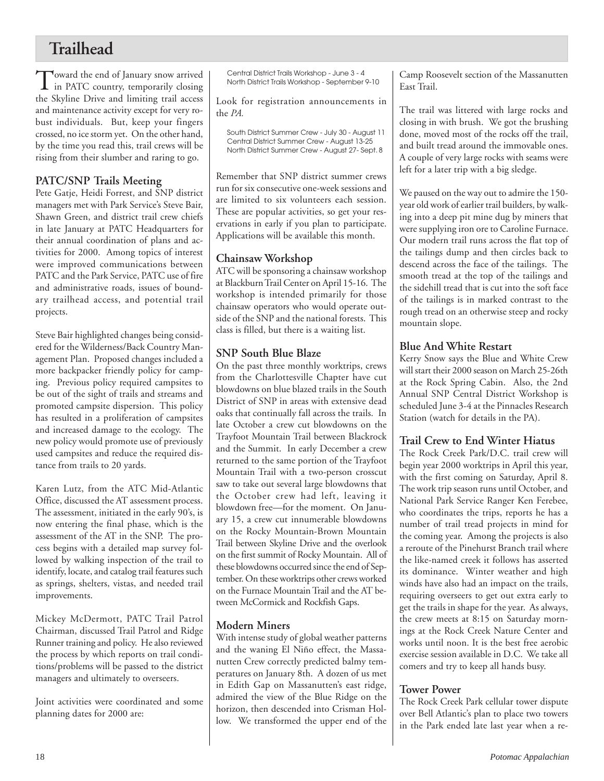## **Trailhead**

Toward the end of January snow arrived in PATC country, temporarily closing the Skyline Drive and limiting trail access and maintenance activity except for very robust individuals. But, keep your fingers crossed, no ice storm yet. On the other hand, by the time you read this, trail crews will be rising from their slumber and raring to go.

## **PATC/SNP Trails Meeting**

Pete Gatje, Heidi Forrest, and SNP district managers met with Park Service's Steve Bair, Shawn Green, and district trail crew chiefs in late January at PATC Headquarters for their annual coordination of plans and activities for 2000. Among topics of interest were improved communications between PATC and the Park Service, PATC use of fire and administrative roads, issues of boundary trailhead access, and potential trail projects.

Steve Bair highlighted changes being considered for the Wilderness/Back Country Management Plan. Proposed changes included a more backpacker friendly policy for camping. Previous policy required campsites to be out of the sight of trails and streams and promoted campsite dispersion. This policy has resulted in a proliferation of campsites and increased damage to the ecology. The new policy would promote use of previously used campsites and reduce the required distance from trails to 20 yards.

Karen Lutz, from the ATC Mid-Atlantic Office, discussed the AT assessment process. The assessment, initiated in the early 90's, is now entering the final phase, which is the assessment of the AT in the SNP. The process begins with a detailed map survey followed by walking inspection of the trail to identify, locate, and catalog trail features such as springs, shelters, vistas, and needed trail improvements.

Mickey McDermott, PATC Trail Patrol Chairman, discussed Trail Patrol and Ridge Runner training and policy. He also reviewed the process by which reports on trail conditions/problems will be passed to the district managers and ultimately to overseers.

Joint activities were coordinated and some planning dates for 2000 are:

Central District Trails Workshop - June 3 - 4 North District Trails Workshop - September 9-10

Look for registration announcements in the *PA.*

South District Summer Crew - July 30 - August 11 Central District Summer Crew - August 13-25 North District Summer Crew - August 27- Sept. 8

Remember that SNP district summer crews run for six consecutive one-week sessions and are limited to six volunteers each session. These are popular activities, so get your reservations in early if you plan to participate. Applications will be available this month.

## **Chainsaw Workshop**

ATC will be sponsoring a chainsaw workshop at Blackburn Trail Center on April 15-16. The workshop is intended primarily for those chainsaw operators who would operate outside of the SNP and the national forests. This class is filled, but there is a waiting list.

## **SNP South Blue Blaze**

On the past three monthly worktrips, crews from the Charlottesville Chapter have cut blowdowns on blue blazed trails in the South District of SNP in areas with extensive dead oaks that continually fall across the trails. In late October a crew cut blowdowns on the Trayfoot Mountain Trail between Blackrock and the Summit. In early December a crew returned to the same portion of the Trayfoot Mountain Trail with a two-person crosscut saw to take out several large blowdowns that the October crew had left, leaving it blowdown free—for the moment. On January 15, a crew cut innumerable blowdowns on the Rocky Mountain-Brown Mountain Trail between Skyline Drive and the overlook on the first summit of Rocky Mountain. All of these blowdowns occurred since the end of September. On these worktrips other crews worked on the Furnace Mountain Trail and the AT between McCormick and Rockfish Gaps.

## **Modern Miners**

With intense study of global weather patterns and the waning El Niño effect, the Massanutten Crew correctly predicted balmy temperatures on January 8th. A dozen of us met in Edith Gap on Massanutten's east ridge, admired the view of the Blue Ridge on the horizon, then descended into Crisman Hollow. We transformed the upper end of the Camp Roosevelt section of the Massanutten East Trail.

The trail was littered with large rocks and closing in with brush. We got the brushing done, moved most of the rocks off the trail, and built tread around the immovable ones. A couple of very large rocks with seams were left for a later trip with a big sledge.

We paused on the way out to admire the 150 year old work of earlier trail builders, by walking into a deep pit mine dug by miners that were supplying iron ore to Caroline Furnace. Our modern trail runs across the flat top of the tailings dump and then circles back to descend across the face of the tailings. The smooth tread at the top of the tailings and the sidehill tread that is cut into the soft face of the tailings is in marked contrast to the rough tread on an otherwise steep and rocky mountain slope.

## **Blue And White Restart**

Kerry Snow says the Blue and White Crew will start their 2000 season on March 25-26th at the Rock Spring Cabin. Also, the 2nd Annual SNP Central District Workshop is scheduled June 3-4 at the Pinnacles Research Station (watch for details in the PA).

## **Trail Crew to End Winter Hiatus**

The Rock Creek Park/D.C. trail crew will begin year 2000 worktrips in April this year, with the first coming on Saturday, April 8. The work trip season runs until October, and National Park Service Ranger Ken Ferebee, who coordinates the trips, reports he has a number of trail tread projects in mind for the coming year. Among the projects is also a reroute of the Pinehurst Branch trail where the like-named creek it follows has asserted its dominance. Winter weather and high winds have also had an impact on the trails, requiring overseers to get out extra early to get the trails in shape for the year. As always, the crew meets at 8:15 on Saturday mornings at the Rock Creek Nature Center and works until noon. It is the best free aerobic exercise session available in D.C. We take all comers and try to keep all hands busy.

## **Tower Power**

The Rock Creek Park cellular tower dispute over Bell Atlantic's plan to place two towers in the Park ended late last year when a re-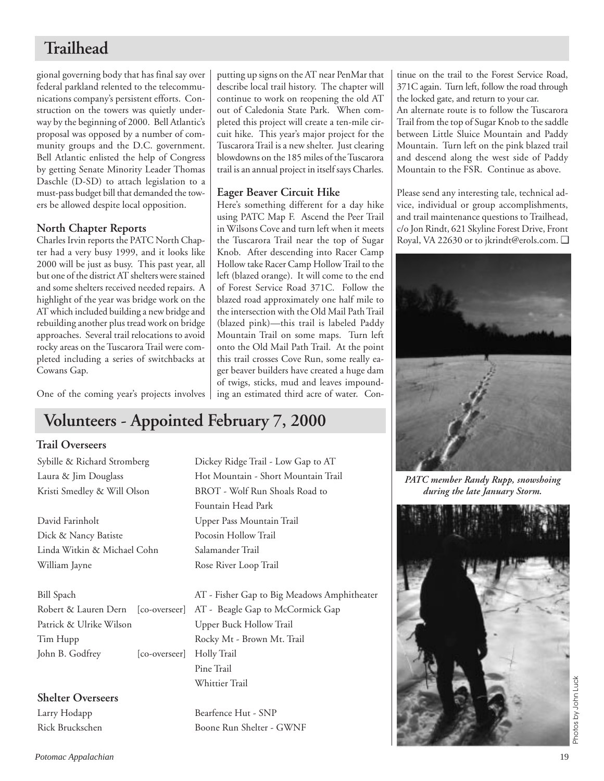## **Trailhead**

gional governing body that has final say over federal parkland relented to the telecommunications company's persistent efforts. Construction on the towers was quietly underway by the beginning of 2000. Bell Atlantic's proposal was opposed by a number of community groups and the D.C. government. Bell Atlantic enlisted the help of Congress by getting Senate Minority Leader Thomas Daschle (D-SD) to attach legislation to a must-pass budget bill that demanded the towers be allowed despite local opposition.

## **North Chapter Reports**

Charles Irvin reports the PATC North Chapter had a very busy 1999, and it looks like 2000 will be just as busy. This past year, all but one of the district AT shelters were stained and some shelters received needed repairs. A highlight of the year was bridge work on the AT which included building a new bridge and rebuilding another plus tread work on bridge approaches. Several trail relocations to avoid rocky areas on the Tuscarora Trail were completed including a series of switchbacks at Cowans Gap.

One of the coming year's projects involves

### putting up signs on the AT near PenMar that describe local trail history. The chapter will continue to work on reopening the old AT out of Caledonia State Park. When completed this project will create a ten-mile circuit hike. This year's major project for the Tuscarora Trail is a new shelter. Just clearing blowdowns on the 185 miles of the Tuscarora trail is an annual project in itself says Charles.

### **Eager Beaver Circuit Hike**

Here's something different for a day hike using PATC Map F. Ascend the Peer Trail in Wilsons Cove and turn left when it meets the Tuscarora Trail near the top of Sugar Knob. After descending into Racer Camp Hollow take Racer Camp Hollow Trail to the left (blazed orange). It will come to the end of Forest Service Road 371C. Follow the blazed road approximately one half mile to the intersection with the Old Mail Path Trail (blazed pink)—this trail is labeled Paddy Mountain Trail on some maps. Turn left onto the Old Mail Path Trail. At the point this trail crosses Cove Run, some really eager beaver builders have created a huge dam of twigs, sticks, mud and leaves impounding an estimated third acre of water. Con-

## **Volunteers - Appointed February 7, 2000**

## **Trail Overseers**

David Farinholt Upper Pass Mountain Trail Dick & Nancy Batiste Pocosin Hollow Trail Linda Witkin & Michael Cohn Salamander Trail William Jayne Rose River Loop Trail

Robert & Lauren Dern [co-overseer] AT - Beagle Gap to McCormick Gap Patrick & Ulrike Wilson Upper Buck Hollow Trail Tim Hupp Rocky Mt - Brown Mt. Trail John B. Godfrey [co-overseer] Holly Trail

**Shelter Overseers** Larry Hodapp Bearfence Hut - SNP

Sybille & Richard Stromberg Dickey Ridge Trail - Low Gap to AT Laura & Jim Douglass Hot Mountain - Short Mountain Trail Kristi Smedley & Will Olson BROT - Wolf Run Shoals Road to Fountain Head Park

Bill Spach AT - Fisher Gap to Big Meadows Amphitheater Pine Trail Whittier Trail

Rick Bruckschen Boone Run Shelter - GWNF

tinue on the trail to the Forest Service Road, 371C again. Turn left, follow the road through the locked gate, and return to your car.

An alternate route is to follow the Tuscarora Trail from the top of Sugar Knob to the saddle between Little Sluice Mountain and Paddy Mountain. Turn left on the pink blazed trail and descend along the west side of Paddy Mountain to the FSR. Continue as above.

Please send any interesting tale, technical advice, individual or group accomplishments, and trail maintenance questions to Trailhead, c/o Jon Rindt, 621 Skyline Forest Drive, Front Royal, VA 22630 or to jkrindt@erols.com. ❑



*PATC member Randy Rupp, snowshoing during the late January Storm.*